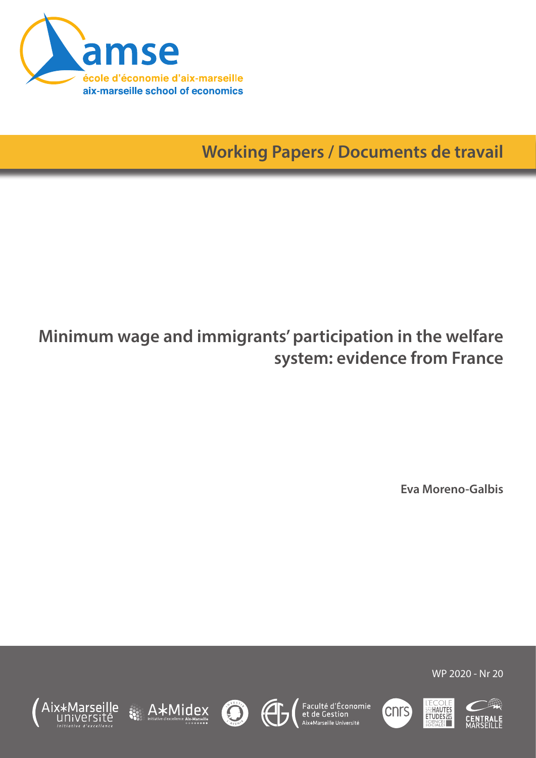

**Working Papers / Documents de travail**

# **Minimum wage and immigrants' participation in the welfare system: evidence from France**

**Eva Moreno-Galbis**

WP 2020 - Nr 20















cnrs<sup>'</sup>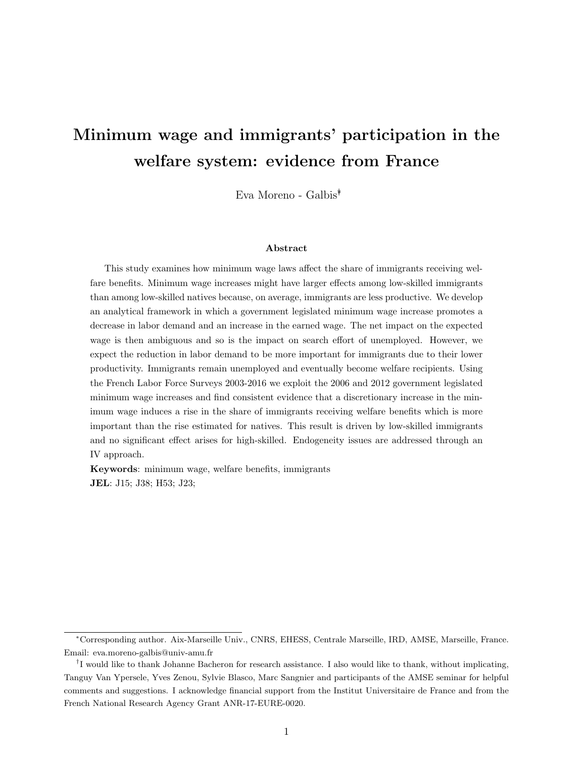# **Minimum wage and immigrants' participation in the welfare system: evidence from France**

Eva Moreno - Galbis*∗†*

#### **Abstract**

This study examines how minimum wage laws affect the share of immigrants receiving welfare benefits. Minimum wage increases might have larger effects among low-skilled immigrants than among low-skilled natives because, on average, immigrants are less productive. We develop an analytical framework in which a government legislated minimum wage increase promotes a decrease in labor demand and an increase in the earned wage. The net impact on the expected wage is then ambiguous and so is the impact on search effort of unemployed. However, we expect the reduction in labor demand to be more important for immigrants due to their lower productivity. Immigrants remain unemployed and eventually become welfare recipients. Using the French Labor Force Surveys 2003-2016 we exploit the 2006 and 2012 government legislated minimum wage increases and find consistent evidence that a discretionary increase in the minimum wage induces a rise in the share of immigrants receiving welfare benefits which is more important than the rise estimated for natives. This result is driven by low-skilled immigrants and no significant effect arises for high-skilled. Endogeneity issues are addressed through an IV approach.

**Keywords**: minimum wage, welfare benefits, immigrants **JEL**: J15; J38; H53; J23;

*<sup>∗</sup>*Corresponding author. Aix-Marseille Univ., CNRS, EHESS, Centrale Marseille, IRD, AMSE, Marseille, France. Email: eva.moreno-galbis@univ-amu.fr

*<sup>†</sup>* I would like to thank Johanne Bacheron for research assistance. I also would like to thank, without implicating, Tanguy Van Ypersele, Yves Zenou, Sylvie Blasco, Marc Sangnier and participants of the AMSE seminar for helpful comments and suggestions. I acknowledge financial support from the Institut Universitaire de France and from the French National Research Agency Grant ANR-17-EURE-0020.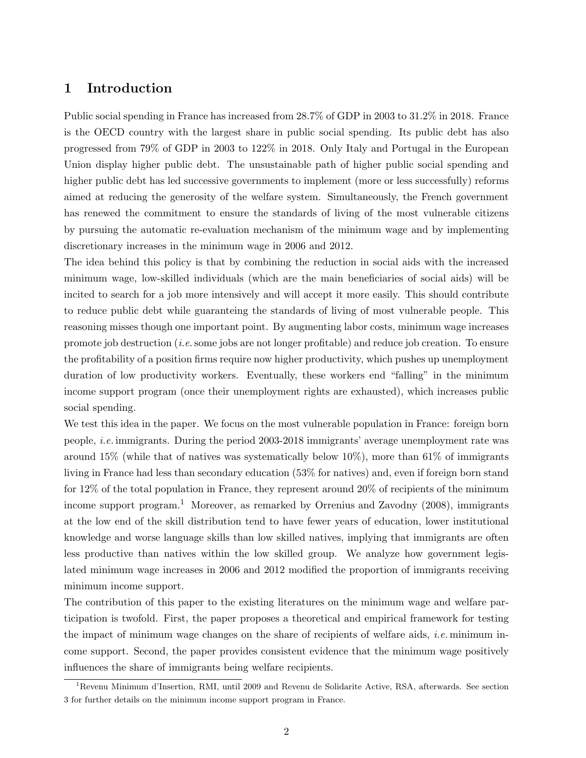## **1 Introduction**

Public social spending in France has increased from 28.7% of GDP in 2003 to 31.2% in 2018. France is the OECD country with the largest share in public social spending. Its public debt has also progressed from 79% of GDP in 2003 to 122% in 2018. Only Italy and Portugal in the European Union display higher public debt. The unsustainable path of higher public social spending and higher public debt has led successive governments to implement (more or less successfully) reforms aimed at reducing the generosity of the welfare system. Simultaneously, the French government has renewed the commitment to ensure the standards of living of the most vulnerable citizens by pursuing the automatic re-evaluation mechanism of the minimum wage and by implementing discretionary increases in the minimum wage in 2006 and 2012.

The idea behind this policy is that by combining the reduction in social aids with the increased minimum wage, low-skilled individuals (which are the main beneficiaries of social aids) will be incited to search for a job more intensively and will accept it more easily. This should contribute to reduce public debt while guaranteing the standards of living of most vulnerable people. This reasoning misses though one important point. By augmenting labor costs, minimum wage increases promote job destruction (*i.e.*some jobs are not longer profitable) and reduce job creation. To ensure the profitability of a position firms require now higher productivity, which pushes up unemployment duration of low productivity workers. Eventually, these workers end "falling" in the minimum income support program (once their unemployment rights are exhausted), which increases public social spending.

We test this idea in the paper. We focus on the most vulnerable population in France: foreign born people, *i.e.* immigrants. During the period 2003-2018 immigrants' average unemployment rate was around  $15\%$  (while that of natives was systematically below  $10\%$ ), more than 61% of immigrants living in France had less than secondary education (53% for natives) and, even if foreign born stand for 12% of the total population in France, they represent around 20% of recipients of the minimum income support program.<sup>1</sup> Moreover, as remarked by Orrenius and Zavodny  $(2008)$ , immigrants at the low end of the skill distribution tend to have fewer years of education, lower institutional knowledge and worse language skills than low skilled natives, implying that immigrants are often less productive than natives within the low skilled group. We analyze how government legislated minimum wage increases in 2006 and 2012 modified the proportion of immigrants receiving minimum income support.

The contribution of this paper to the existing literatures on the minimum wage and welfare participation is twofold. First, the paper proposes a theoretical and empirical framework for testing the impact of minimum wage changes on the share of recipients of welfare aids, *i.e.* minimum income support. Second, the paper provides consistent evidence that the minimum wage positively influences the share of immigrants being welfare recipients.

<sup>1</sup>Revenu Minimum d'Insertion, RMI, until 2009 and Revenu de Solidarite Active, RSA, afterwards. See section 3 for further details on the minimum income support program in France.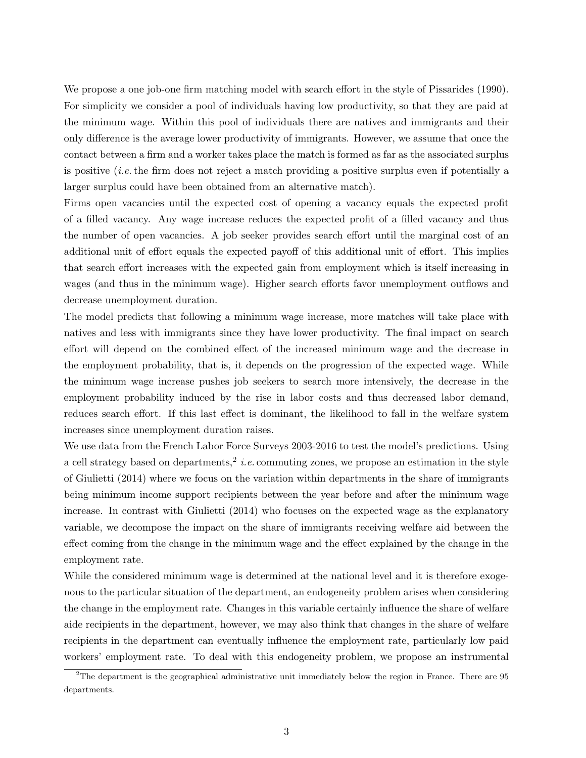We propose a one job-one firm matching model with search effort in the style of Pissarides (1990). For simplicity we consider a pool of individuals having low productivity, so that they are paid at the minimum wage. Within this pool of individuals there are natives and immigrants and their only difference is the average lower productivity of immigrants. However, we assume that once the contact between a firm and a worker takes place the match is formed as far as the associated surplus is positive (*i.e.*the firm does not reject a match providing a positive surplus even if potentially a larger surplus could have been obtained from an alternative match).

Firms open vacancies until the expected cost of opening a vacancy equals the expected profit of a filled vacancy. Any wage increase reduces the expected profit of a filled vacancy and thus the number of open vacancies. A job seeker provides search effort until the marginal cost of an additional unit of effort equals the expected payoff of this additional unit of effort. This implies that search effort increases with the expected gain from employment which is itself increasing in wages (and thus in the minimum wage). Higher search efforts favor unemployment outflows and decrease unemployment duration.

The model predicts that following a minimum wage increase, more matches will take place with natives and less with immigrants since they have lower productivity. The final impact on search effort will depend on the combined effect of the increased minimum wage and the decrease in the employment probability, that is, it depends on the progression of the expected wage. While the minimum wage increase pushes job seekers to search more intensively, the decrease in the employment probability induced by the rise in labor costs and thus decreased labor demand, reduces search effort. If this last effect is dominant, the likelihood to fall in the welfare system increases since unemployment duration raises.

We use data from the French Labor Force Surveys 2003-2016 to test the model's predictions. Using a cell strategy based on departments,<sup>2</sup> *i.e.* commuting zones, we propose an estimation in the style of Giulietti (2014) where we focus on the variation within departments in the share of immigrants being minimum income support recipients between the year before and after the minimum wage increase. In contrast with Giulietti (2014) who focuses on the expected wage as the explanatory variable, we decompose the impact on the share of immigrants receiving welfare aid between the effect coming from the change in the minimum wage and the effect explained by the change in the employment rate.

While the considered minimum wage is determined at the national level and it is therefore exogenous to the particular situation of the department, an endogeneity problem arises when considering the change in the employment rate. Changes in this variable certainly influence the share of welfare aide recipients in the department, however, we may also think that changes in the share of welfare recipients in the department can eventually influence the employment rate, particularly low paid workers' employment rate. To deal with this endogeneity problem, we propose an instrumental

<sup>2</sup>The department is the geographical administrative unit immediately below the region in France. There are 95 departments.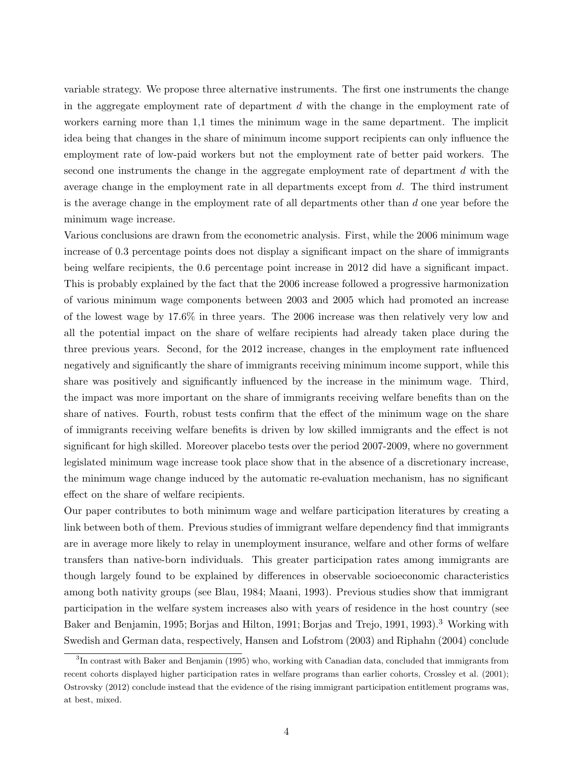variable strategy. We propose three alternative instruments. The first one instruments the change in the aggregate employment rate of department *d* with the change in the employment rate of workers earning more than 1,1 times the minimum wage in the same department. The implicit idea being that changes in the share of minimum income support recipients can only influence the employment rate of low-paid workers but not the employment rate of better paid workers. The second one instruments the change in the aggregate employment rate of department *d* with the average change in the employment rate in all departments except from *d*. The third instrument is the average change in the employment rate of all departments other than *d* one year before the minimum wage increase.

Various conclusions are drawn from the econometric analysis. First, while the 2006 minimum wage increase of 0.3 percentage points does not display a significant impact on the share of immigrants being welfare recipients, the 0.6 percentage point increase in 2012 did have a significant impact. This is probably explained by the fact that the 2006 increase followed a progressive harmonization of various minimum wage components between 2003 and 2005 which had promoted an increase of the lowest wage by 17.6% in three years. The 2006 increase was then relatively very low and all the potential impact on the share of welfare recipients had already taken place during the three previous years. Second, for the 2012 increase, changes in the employment rate influenced negatively and significantly the share of immigrants receiving minimum income support, while this share was positively and significantly influenced by the increase in the minimum wage. Third, the impact was more important on the share of immigrants receiving welfare benefits than on the share of natives. Fourth, robust tests confirm that the effect of the minimum wage on the share of immigrants receiving welfare benefits is driven by low skilled immigrants and the effect is not significant for high skilled. Moreover placebo tests over the period 2007-2009, where no government legislated minimum wage increase took place show that in the absence of a discretionary increase, the minimum wage change induced by the automatic re-evaluation mechanism, has no significant effect on the share of welfare recipients.

Our paper contributes to both minimum wage and welfare participation literatures by creating a link between both of them. Previous studies of immigrant welfare dependency find that immigrants are in average more likely to relay in unemployment insurance, welfare and other forms of welfare transfers than native-born individuals. This greater participation rates among immigrants are though largely found to be explained by differences in observable socioeconomic characteristics among both nativity groups (see Blau, 1984; Maani, 1993). Previous studies show that immigrant participation in the welfare system increases also with years of residence in the host country (see Baker and Benjamin, 1995; Borjas and Hilton, 1991; Borjas and Trejo, 1991, 1993).<sup>3</sup> Working with Swedish and German data, respectively, Hansen and Lofstrom (2003) and Riphahn (2004) conclude

<sup>&</sup>lt;sup>3</sup>In contrast with Baker and Benjamin (1995) who, working with Canadian data, concluded that immigrants from recent cohorts displayed higher participation rates in welfare programs than earlier cohorts, Crossley et al. (2001); Ostrovsky (2012) conclude instead that the evidence of the rising immigrant participation entitlement programs was, at best, mixed.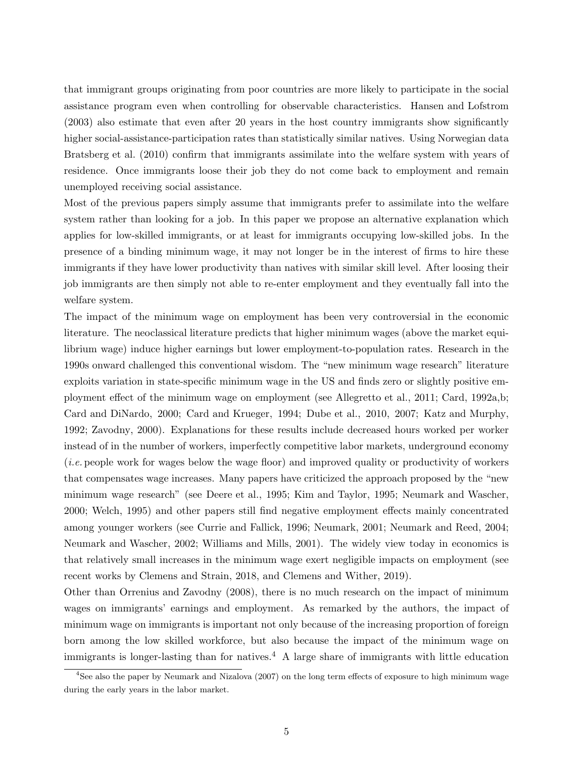that immigrant groups originating from poor countries are more likely to participate in the social assistance program even when controlling for observable characteristics. Hansen and Lofstrom (2003) also estimate that even after 20 years in the host country immigrants show significantly higher social-assistance-participation rates than statistically similar natives. Using Norwegian data Bratsberg et al. (2010) confirm that immigrants assimilate into the welfare system with years of residence. Once immigrants loose their job they do not come back to employment and remain unemployed receiving social assistance.

Most of the previous papers simply assume that immigrants prefer to assimilate into the welfare system rather than looking for a job. In this paper we propose an alternative explanation which applies for low-skilled immigrants, or at least for immigrants occupying low-skilled jobs. In the presence of a binding minimum wage, it may not longer be in the interest of firms to hire these immigrants if they have lower productivity than natives with similar skill level. After loosing their job immigrants are then simply not able to re-enter employment and they eventually fall into the welfare system.

The impact of the minimum wage on employment has been very controversial in the economic literature. The neoclassical literature predicts that higher minimum wages (above the market equilibrium wage) induce higher earnings but lower employment-to-population rates. Research in the 1990s onward challenged this conventional wisdom. The "new minimum wage research" literature exploits variation in state-specific minimum wage in the US and finds zero or slightly positive employment effect of the minimum wage on employment (see Allegretto et al., 2011; Card, 1992a,b; Card and DiNardo, 2000; Card and Krueger, 1994; Dube et al., 2010, 2007; Katz and Murphy, 1992; Zavodny, 2000). Explanations for these results include decreased hours worked per worker instead of in the number of workers, imperfectly competitive labor markets, underground economy (*i.e.* people work for wages below the wage floor) and improved quality or productivity of workers that compensates wage increases. Many papers have criticized the approach proposed by the "new minimum wage research" (see Deere et al., 1995; Kim and Taylor, 1995; Neumark and Wascher, 2000; Welch, 1995) and other papers still find negative employment effects mainly concentrated among younger workers (see Currie and Fallick, 1996; Neumark, 2001; Neumark and Reed, 2004; Neumark and Wascher, 2002; Williams and Mills, 2001). The widely view today in economics is that relatively small increases in the minimum wage exert negligible impacts on employment (see recent works by Clemens and Strain, 2018, and Clemens and Wither, 2019).

Other than Orrenius and Zavodny (2008), there is no much research on the impact of minimum wages on immigrants' earnings and employment. As remarked by the authors, the impact of minimum wage on immigrants is important not only because of the increasing proportion of foreign born among the low skilled workforce, but also because the impact of the minimum wage on immigrants is longer-lasting than for natives.<sup>4</sup> A large share of immigrants with little education

<sup>&</sup>lt;sup>4</sup>See also the paper by Neumark and Nizalova (2007) on the long term effects of exposure to high minimum wage during the early years in the labor market.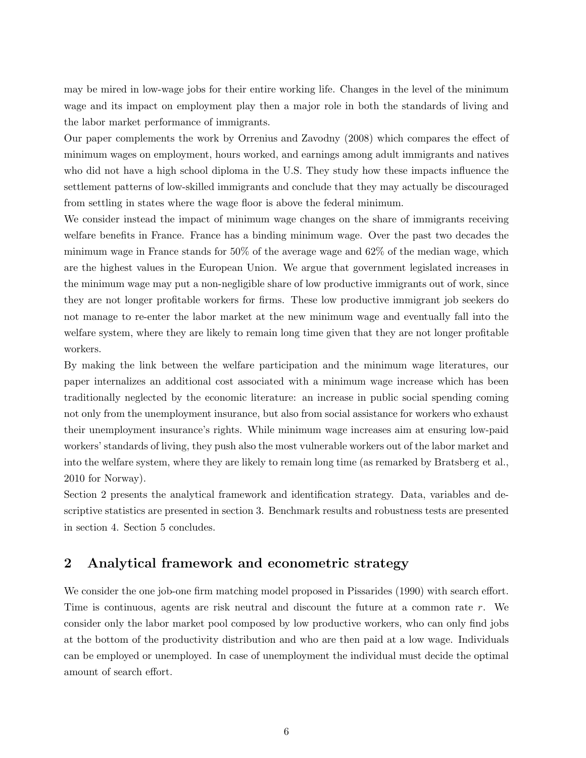may be mired in low-wage jobs for their entire working life. Changes in the level of the minimum wage and its impact on employment play then a major role in both the standards of living and the labor market performance of immigrants.

Our paper complements the work by Orrenius and Zavodny (2008) which compares the effect of minimum wages on employment, hours worked, and earnings among adult immigrants and natives who did not have a high school diploma in the U.S. They study how these impacts influence the settlement patterns of low-skilled immigrants and conclude that they may actually be discouraged from settling in states where the wage floor is above the federal minimum.

We consider instead the impact of minimum wage changes on the share of immigrants receiving welfare benefits in France. France has a binding minimum wage. Over the past two decades the minimum wage in France stands for 50% of the average wage and 62% of the median wage, which are the highest values in the European Union. We argue that government legislated increases in the minimum wage may put a non-negligible share of low productive immigrants out of work, since they are not longer profitable workers for firms. These low productive immigrant job seekers do not manage to re-enter the labor market at the new minimum wage and eventually fall into the welfare system, where they are likely to remain long time given that they are not longer profitable workers.

By making the link between the welfare participation and the minimum wage literatures, our paper internalizes an additional cost associated with a minimum wage increase which has been traditionally neglected by the economic literature: an increase in public social spending coming not only from the unemployment insurance, but also from social assistance for workers who exhaust their unemployment insurance's rights. While minimum wage increases aim at ensuring low-paid workers' standards of living, they push also the most vulnerable workers out of the labor market and into the welfare system, where they are likely to remain long time (as remarked by Bratsberg et al., 2010 for Norway).

Section 2 presents the analytical framework and identification strategy. Data, variables and descriptive statistics are presented in section 3. Benchmark results and robustness tests are presented in section 4. Section 5 concludes.

# **2 Analytical framework and econometric strategy**

We consider the one job-one firm matching model proposed in Pissarides (1990) with search effort. Time is continuous, agents are risk neutral and discount the future at a common rate *r*. We consider only the labor market pool composed by low productive workers, who can only find jobs at the bottom of the productivity distribution and who are then paid at a low wage. Individuals can be employed or unemployed. In case of unemployment the individual must decide the optimal amount of search effort.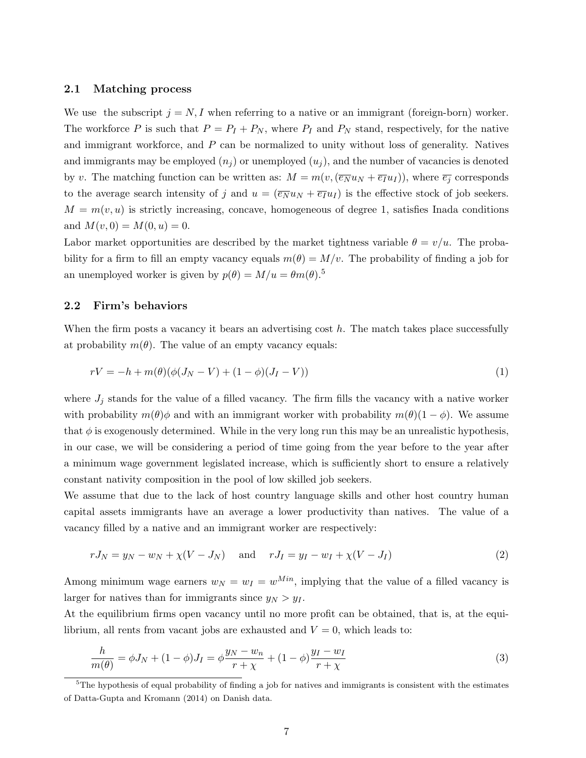#### **2.1 Matching process**

We use the subscript  $j = N, I$  when referring to a native or an immigrant (foreign-born) worker. The workforce *P* is such that  $P = P_I + P_N$ , where  $P_I$  and  $P_N$  stand, respectively, for the native and immigrant workforce, and *P* can be normalized to unity without loss of generality. Natives and immigrants may be employed  $(n_i)$  or unemployed  $(u_i)$ , and the number of vacancies is denoted by *v*. The matching function can be written as:  $M = m(v, (\overline{e_N}u_N + \overline{e_I}u_I))$ , where  $\overline{e_i}$  corresponds to the average search intensity of *j* and  $u = (\overline{e_N}u_N + \overline{e_I}u_I)$  is the effective stock of job seekers.  $M = m(v, u)$  is strictly increasing, concave, homogeneous of degree 1, satisfies Inada conditions and  $M(v, 0) = M(0, u) = 0$ .

Labor market opportunities are described by the market tightness variable  $\theta = v/u$ . The probability for a firm to fill an empty vacancy equals  $m(\theta) = M/v$ . The probability of finding a job for an unemployed worker is given by  $p(\theta) = M/u = \theta m(\theta).$ <sup>5</sup>

#### **2.2 Firm's behaviors**

When the firm posts a vacancy it bears an advertising cost *h*. The match takes place successfully at probability  $m(\theta)$ . The value of an empty vacancy equals:

$$
rV = -h + m(\theta)(\phi(J_N - V) + (1 - \phi)(J_I - V))
$$
\n(1)

where  $J_j$  stands for the value of a filled vacancy. The firm fills the vacancy with a native worker with probability  $m(\theta)\phi$  and with an immigrant worker with probability  $m(\theta)(1-\phi)$ . We assume that  $\phi$  is exogenously determined. While in the very long run this may be an unrealistic hypothesis, in our case, we will be considering a period of time going from the year before to the year after a minimum wage government legislated increase, which is sufficiently short to ensure a relatively constant nativity composition in the pool of low skilled job seekers.

We assume that due to the lack of host country language skills and other host country human capital assets immigrants have an average a lower productivity than natives. The value of a vacancy filled by a native and an immigrant worker are respectively:

$$
rJ_N = y_N - w_N + \chi(V - J_N) \text{ and } rJ_I = y_I - w_I + \chi(V - J_I) \tag{2}
$$

Among minimum wage earners  $w_N = w_I = w^{Min}$ , implying that the value of a filled vacancy is larger for natives than for immigrants since  $y_N > y_I$ .

At the equilibrium firms open vacancy until no more profit can be obtained, that is, at the equilibrium, all rents from vacant jobs are exhausted and  $V = 0$ , which leads to:

$$
\frac{h}{m(\theta)} = \phi J_N + (1 - \phi) J_I = \phi \frac{y_N - w_n}{r + \chi} + (1 - \phi) \frac{y_I - w_I}{r + \chi} \tag{3}
$$

 $5$ The hypothesis of equal probability of finding a job for natives and immigrants is consistent with the estimates of Datta-Gupta and Kromann (2014) on Danish data.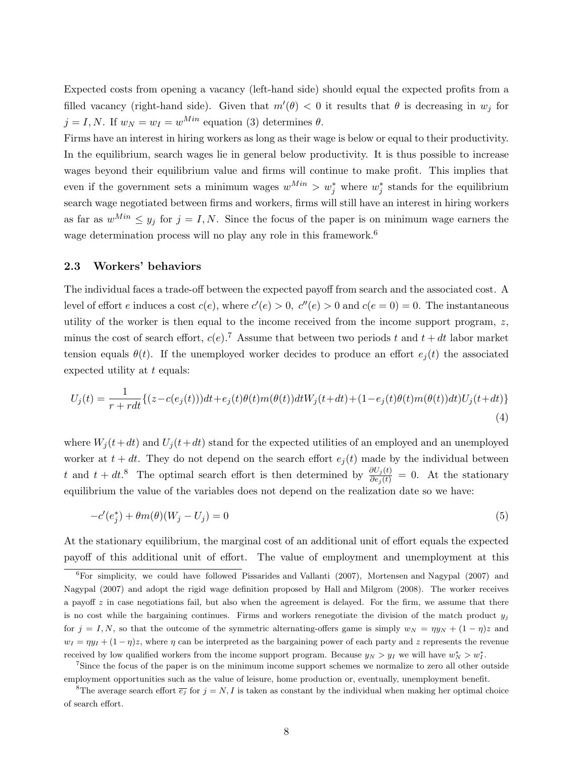Expected costs from opening a vacancy (left-hand side) should equal the expected profits from a filled vacancy (right-hand side). Given that  $m'(\theta) < 0$  it results that  $\theta$  is decreasing in  $w_j$  for  $j = I, N$ . If  $w_N = w_I = w^{Min}$  equation (3) determines  $\theta$ .

Firms have an interest in hiring workers as long as their wage is below or equal to their productivity. In the equilibrium, search wages lie in general below productivity. It is thus possible to increase wages beyond their equilibrium value and firms will continue to make profit. This implies that even if the government sets a minimum wages  $w^{Min} > w_j^*$  where  $w_j^*$  stands for the equilibrium search wage negotiated between firms and workers, firms will still have an interest in hiring workers as far as  $w^{Min} \leq y_j$  for  $j = I, N$ . Since the focus of the paper is on minimum wage earners the wage determination process will no play any role in this framework.<sup>6</sup>

#### **2.3 Workers' behaviors**

The individual faces a trade-off between the expected payoff from search and the associated cost. A level of effort *e* induces a cost  $c(e)$ , where  $c'(e) > 0$ ,  $c''(e) > 0$  and  $c(e = 0) = 0$ . The instantaneous utility of the worker is then equal to the income received from the income support program, *z*, minus the cost of search effort,  $c(e)$ .<sup>7</sup> Assume that between two periods t and  $t + dt$  labor market tension equals  $\theta(t)$ . If the unemployed worker decides to produce an effort  $e_i(t)$  the associated expected utility at *t* equals:

$$
U_j(t) = \frac{1}{r + rdt} \{ (z - c(e_j(t)))dt + e_j(t)\theta(t)m(\theta(t))dtW_j(t+dt) + (1 - e_j(t)\theta(t)m(\theta(t))dt)U_j(t+dt) \}
$$
\n
$$
\tag{4}
$$

where  $W_i(t+dt)$  and  $U_i(t+dt)$  stand for the expected utilities of an employed and an unemployed worker at  $t + dt$ . They do not depend on the search effort  $e_j(t)$  made by the individual between *t* and  $t + dt$ .<sup>8</sup> The optimal search effort is then determined by  $\frac{\partial U_j(t)}{\partial e_j(t)} = 0$ . At the stationary equilibrium the value of the variables does not depend on the realization date so we have:

$$
-c'(e_j^*) + \theta m(\theta)(W_j - U_j) = 0\tag{5}
$$

At the stationary equilibrium, the marginal cost of an additional unit of effort equals the expected payoff of this additional unit of effort. The value of employment and unemployment at this

 ${}^{6}$ For simplicity, we could have followed Pissarides and Vallanti (2007), Mortensen and Nagypal (2007) and Nagypal (2007) and adopt the rigid wage definition proposed by Hall and Milgrom (2008). The worker receives a payoff *z* in case negotiations fail, but also when the agreement is delayed. For the firm, we assume that there is no cost while the bargaining continues. Firms and workers renegotiate the division of the match product  $y_j$ for  $j = I, N$ , so that the outcome of the symmetric alternating-offers game is simply  $w_N = \eta y_N + (1 - \eta)z$  and  $w_I = \eta y_I + (1 - \eta)z$ , where  $\eta$  can be interpreted as the bargaining power of each party and *z* represents the revenue received by low qualified workers from the income support program. Because  $y_N > y_I$  we will have  $w_N^* > w_I^*$ .

<sup>7</sup>Since the focus of the paper is on the minimum income support schemes we normalize to zero all other outside employment opportunities such as the value of leisure, home production or, eventually, unemployment benefit.

<sup>&</sup>lt;sup>8</sup>The average search effort  $\overline{e_i}$  for  $j = N, I$  is taken as constant by the individual when making her optimal choice of search effort.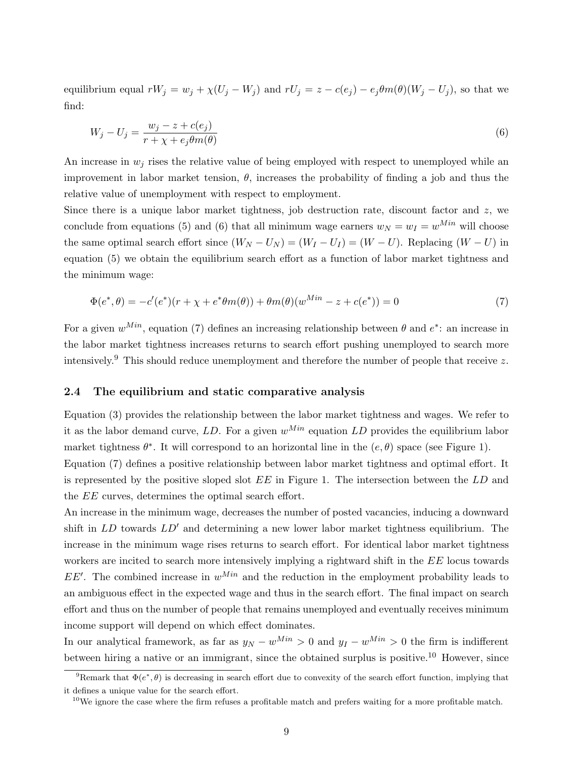equilibrium equal  $rW_j = w_j + \chi(U_j - W_j)$  and  $rU_j = z - c(e_j) - e_j \theta m(\theta)(W_j - U_j)$ , so that we find:

$$
W_j - U_j = \frac{w_j - z + c(e_j)}{r + \chi + e_j \theta m(\theta)}
$$
\n<sup>(6)</sup>

An increase in  $w_j$  rises the relative value of being employed with respect to unemployed while an improvement in labor market tension,  $\theta$ , increases the probability of finding a job and thus the relative value of unemployment with respect to employment.

Since there is a unique labor market tightness, job destruction rate, discount factor and *z*, we conclude from equations (5) and (6) that all minimum wage earners  $w_N = w_I = w^{Min}$  will choose the same optimal search effort since  $(W_N - U_N) = (W_I - U_I) = (W - U)$ . Replacing  $(W - U)$  in equation (5) we obtain the equilibrium search effort as a function of labor market tightness and the minimum wage:

$$
\Phi(e^*, \theta) = -c'(e^*)(r + \chi + e^*\theta m(\theta)) + \theta m(\theta)(w^{Min} - z + c(e^*)) = 0
$$
\n(7)

For a given  $w^{Min}$ , equation (7) defines an increasing relationship between  $\theta$  and  $e^*$ : an increase in the labor market tightness increases returns to search effort pushing unemployed to search more intensively.<sup>9</sup> This should reduce unemployment and therefore the number of people that receive *z*.

#### **2.4 The equilibrium and static comparative analysis**

Equation (3) provides the relationship between the labor market tightness and wages. We refer to it as the labor demand curve, *LD*. For a given  $w^{Min}$  equation *LD* provides the equilibrium labor market tightness  $\theta^*$ . It will correspond to an horizontal line in the  $(e, \theta)$  space (see Figure 1).

Equation (7) defines a positive relationship between labor market tightness and optimal effort. It is represented by the positive sloped slot *EE* in Figure 1. The intersection between the *LD* and the *EE* curves, determines the optimal search effort.

An increase in the minimum wage, decreases the number of posted vacancies, inducing a downward shift in *LD* towards *LD′* and determining a new lower labor market tightness equilibrium. The increase in the minimum wage rises returns to search effort. For identical labor market tightness workers are incited to search more intensively implying a rightward shift in the *EE* locus towards *EE<sup>'</sup>*. The combined increase in  $w^{Min}$  and the reduction in the employment probability leads to an ambiguous effect in the expected wage and thus in the search effort. The final impact on search effort and thus on the number of people that remains unemployed and eventually receives minimum income support will depend on which effect dominates.

In our analytical framework, as far as  $y_N - w^{Min} > 0$  and  $y_I - w^{Min} > 0$  the firm is indifferent between hiring a native or an immigrant, since the obtained surplus is positive.<sup>10</sup> However, since

<sup>&</sup>lt;sup>9</sup>Remark that  $\Phi(e^*, \theta)$  is decreasing in search effort due to convexity of the search effort function, implying that it defines a unique value for the search effort.

<sup>&</sup>lt;sup>10</sup>We ignore the case where the firm refuses a profitable match and prefers waiting for a more profitable match.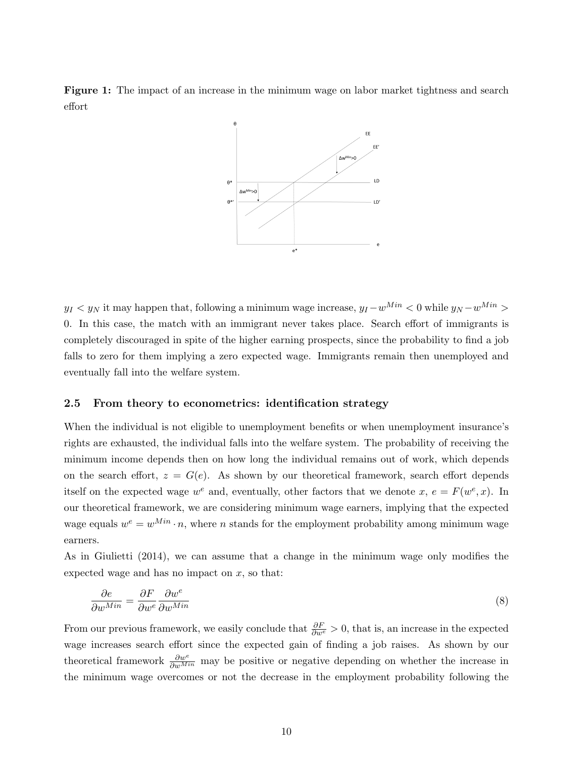**Figure 1:** The impact of an increase in the minimum wage on labor market tightness and search effort



*y*<sup>*I*</sup>  $\leq$  *y*<sub>*N*</sub> it may happen that, following a minimum wage increase,  $y_I - w^{Min} \leq 0$  while  $y_N - w^{Min} > 0$ 0. In this case, the match with an immigrant never takes place. Search effort of immigrants is completely discouraged in spite of the higher earning prospects, since the probability to find a job falls to zero for them implying a zero expected wage. Immigrants remain then unemployed and eventually fall into the welfare system.

#### **2.5 From theory to econometrics: identification strategy**

When the individual is not eligible to unemployment benefits or when unemployment insurance's rights are exhausted, the individual falls into the welfare system. The probability of receiving the minimum income depends then on how long the individual remains out of work, which depends on the search effort,  $z = G(e)$ . As shown by our theoretical framework, search effort depends itself on the expected wage  $w^e$  and, eventually, other factors that we denote  $x, e = F(w^e, x)$ . In our theoretical framework, we are considering minimum wage earners, implying that the expected wage equals  $w^e = w^{Min} \cdot n$ , where *n* stands for the employment probability among minimum wage earners.

As in Giulietti (2014), we can assume that a change in the minimum wage only modifies the expected wage and has no impact on *x*, so that:

$$
\frac{\partial e}{\partial w^{Min}} = \frac{\partial F}{\partial w^e} \frac{\partial w^e}{\partial w^{Min}} \tag{8}
$$

From our previous framework, we easily conclude that  $\frac{\partial F}{\partial w^e} > 0$ , that is, an increase in the expected wage increases search effort since the expected gain of finding a job raises. As shown by our theoretical framework  $\frac{\partial w^e}{\partial w^{Min}}$  may be positive or negative depending on whether the increase in the minimum wage overcomes or not the decrease in the employment probability following the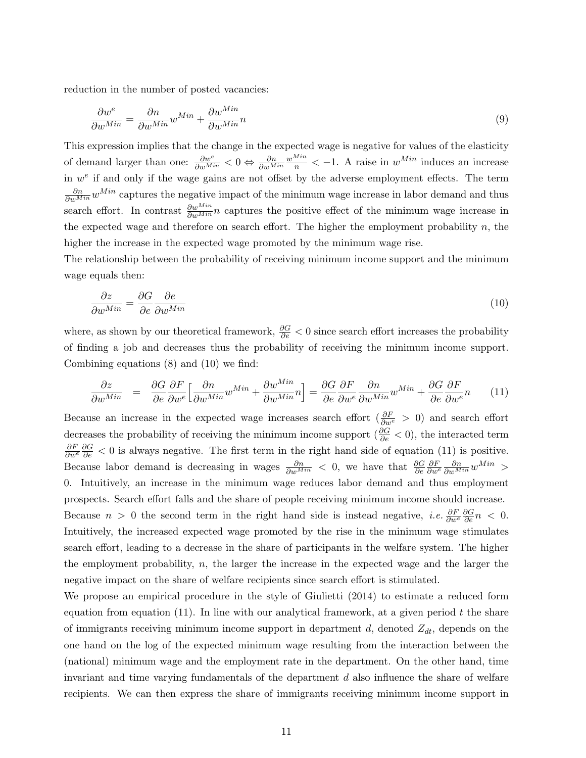reduction in the number of posted vacancies:

$$
\frac{\partial w^e}{\partial w^{Min}} = \frac{\partial n}{\partial w^{Min}} w^{Min} + \frac{\partial w^{Min}}{\partial w^{Min}} n
$$
\n(9)

This expression implies that the change in the expected wage is negative for values of the elasticity of demand larger than one:  $\frac{\partial w^e}{\partial w^{Min}} < 0 \Leftrightarrow \frac{\partial n}{\partial w^{Min}}$  $\frac{w^{Min}}{n}$  < -1. A raise in  $w^{Min}$  induces an increase in  $w<sup>e</sup>$  if and only if the wage gains are not offset by the adverse employment effects. The term  $\frac{\partial n}{\partial w^{Min}} w^{Min}$  captures the negative impact of the minimum wage increase in labor demand and thus search effort. In contrast *∂wMin ∂wMin n* captures the positive effect of the minimum wage increase in the expected wage and therefore on search effort. The higher the employment probability  $n$ , the higher the increase in the expected wage promoted by the minimum wage rise.

The relationship between the probability of receiving minimum income support and the minimum wage equals then:

$$
\frac{\partial z}{\partial w^{Min}} = \frac{\partial G}{\partial e} \frac{\partial e}{\partial w^{Min}} \tag{10}
$$

where, as shown by our theoretical framework, *∂G ∂e <* 0 since search effort increases the probability of finding a job and decreases thus the probability of receiving the minimum income support. Combining equations (8) and (10) we find:

$$
\frac{\partial z}{\partial w^{Min}} = \frac{\partial G}{\partial e} \frac{\partial F}{\partial w^{e}} \Big[ \frac{\partial n}{\partial w^{Min}} w^{Min} + \frac{\partial w^{Min}}{\partial w^{Min}} n \Big] = \frac{\partial G}{\partial e} \frac{\partial F}{\partial w^{e}} \frac{\partial n}{\partial w^{Min}} w^{Min} + \frac{\partial G}{\partial e} \frac{\partial F}{\partial w^{e}} n \tag{11}
$$

Because an increase in the expected wage increases search effort ( $\frac{\partial F}{\partial w^e} > 0$ ) and search effort decreases the probability of receiving the minimum income support ( *∂G ∂e <* 0), the interacted term  $\frac{\partial F}{\partial w^e}$  *∂*G  $\leq$  0 is always negative. The first term in the right hand side of equation (11) is positive. Because labor demand is decreasing in wages  $\frac{\partial n}{\partial w^{Min}} < 0$ , we have that  $\frac{\partial G}{\partial e}$  $\frac{\partial F}{\partial w^e} \frac{\partial n}{\partial w^{Min}} w^{Min}$  > 0. Intuitively, an increase in the minimum wage reduces labor demand and thus employment prospects. Search effort falls and the share of people receiving minimum income should increase. Because *n* > 0 the second term in the right hand side is instead negative, *i.e.*  $\frac{\partial F}{\partial w^e} \frac{\partial G}{\partial e} n$  < 0. Intuitively, the increased expected wage promoted by the rise in the minimum wage stimulates search effort, leading to a decrease in the share of participants in the welfare system. The higher the employment probability, *n*, the larger the increase in the expected wage and the larger the negative impact on the share of welfare recipients since search effort is stimulated.

We propose an empirical procedure in the style of Giulietti (2014) to estimate a reduced form equation from equation (11). In line with our analytical framework, at a given period *t* the share of immigrants receiving minimum income support in department *d*, denoted *Zdt*, depends on the one hand on the log of the expected minimum wage resulting from the interaction between the (national) minimum wage and the employment rate in the department. On the other hand, time invariant and time varying fundamentals of the department *d* also influence the share of welfare recipients. We can then express the share of immigrants receiving minimum income support in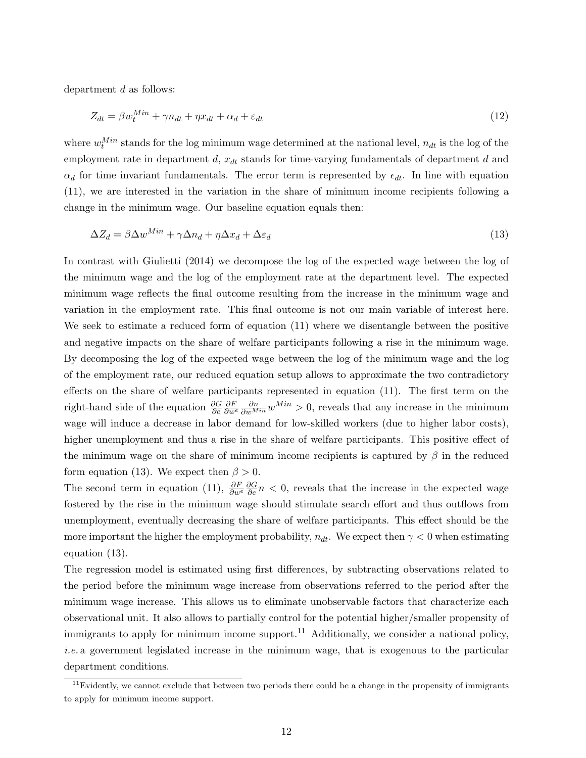department *d* as follows:

$$
Z_{dt} = \beta w_t^{Min} + \gamma n_{dt} + \eta x_{dt} + \alpha_d + \varepsilon_{dt} \tag{12}
$$

where  $w_t^{Min}$  stands for the log minimum wage determined at the national level,  $n_{dt}$  is the log of the employment rate in department *d*,  $x_{dt}$  stands for time-varying fundamentals of department *d* and  $\alpha_d$  for time invariant fundamentals. The error term is represented by  $\epsilon_{dt}$ . In line with equation (11), we are interested in the variation in the share of minimum income recipients following a change in the minimum wage. Our baseline equation equals then:

$$
\Delta Z_d = \beta \Delta w^{Min} + \gamma \Delta n_d + \eta \Delta x_d + \Delta \varepsilon_d \tag{13}
$$

In contrast with Giulietti (2014) we decompose the log of the expected wage between the log of the minimum wage and the log of the employment rate at the department level. The expected minimum wage reflects the final outcome resulting from the increase in the minimum wage and variation in the employment rate. This final outcome is not our main variable of interest here. We seek to estimate a reduced form of equation (11) where we disentangle between the positive and negative impacts on the share of welfare participants following a rise in the minimum wage. By decomposing the log of the expected wage between the log of the minimum wage and the log of the employment rate, our reduced equation setup allows to approximate the two contradictory effects on the share of welfare participants represented in equation (11). The first term on the right-hand side of the equation *∂G ∂e*  $\frac{\partial F}{\partial w^e}$   $\frac{\partial n}{\partial w^{Min}}$  *w*<sup>*Min*</sup> > 0, reveals that any increase in the minimum wage will induce a decrease in labor demand for low-skilled workers (due to higher labor costs), higher unemployment and thus a rise in the share of welfare participants. This positive effect of the minimum wage on the share of minimum income recipients is captured by *β* in the reduced form equation (13). We expect then  $\beta > 0$ .

The second term in equation (11),  $\frac{\partial F}{\partial w^e} \frac{\partial G}{\partial e} n < 0$ , reveals that the increase in the expected wage fostered by the rise in the minimum wage should stimulate search effort and thus outflows from unemployment, eventually decreasing the share of welfare participants. This effect should be the more important the higher the employment probability,  $n_{dt}$ . We expect then  $\gamma < 0$  when estimating equation (13).

The regression model is estimated using first differences, by subtracting observations related to the period before the minimum wage increase from observations referred to the period after the minimum wage increase. This allows us to eliminate unobservable factors that characterize each observational unit. It also allows to partially control for the potential higher/smaller propensity of immigrants to apply for minimum income support.<sup>11</sup> Additionally, we consider a national policy, *i.e.* a government legislated increase in the minimum wage, that is exogenous to the particular department conditions.

 $11$ Evidently, we cannot exclude that between two periods there could be a change in the propensity of immigrants to apply for minimum income support.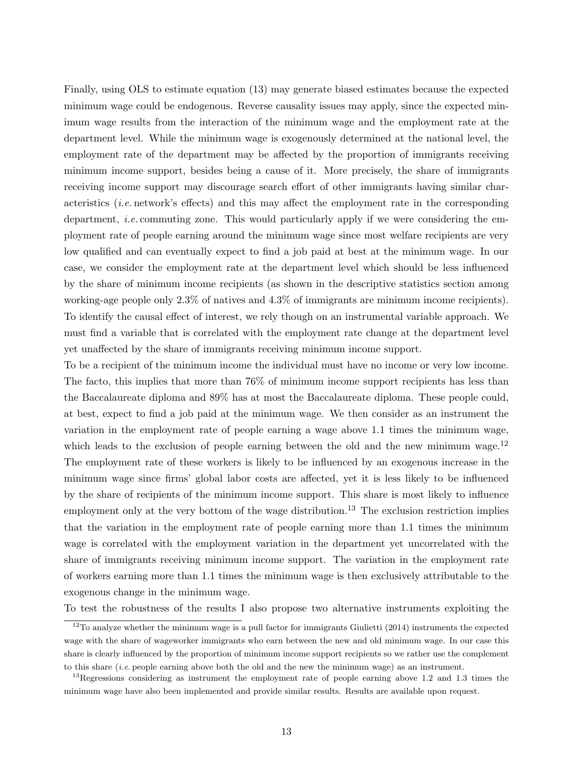Finally, using OLS to estimate equation (13) may generate biased estimates because the expected minimum wage could be endogenous. Reverse causality issues may apply, since the expected minimum wage results from the interaction of the minimum wage and the employment rate at the department level. While the minimum wage is exogenously determined at the national level, the employment rate of the department may be affected by the proportion of immigrants receiving minimum income support, besides being a cause of it. More precisely, the share of immigrants receiving income support may discourage search effort of other immigrants having similar characteristics (*i.e.* network's effects) and this may affect the employment rate in the corresponding department, *i.e.* commuting zone. This would particularly apply if we were considering the employment rate of people earning around the minimum wage since most welfare recipients are very low qualified and can eventually expect to find a job paid at best at the minimum wage. In our case, we consider the employment rate at the department level which should be less influenced by the share of minimum income recipients (as shown in the descriptive statistics section among working-age people only 2.3% of natives and 4.3% of immigrants are minimum income recipients). To identify the causal effect of interest, we rely though on an instrumental variable approach. We must find a variable that is correlated with the employment rate change at the department level yet unaffected by the share of immigrants receiving minimum income support.

To be a recipient of the minimum income the individual must have no income or very low income. The facto, this implies that more than 76% of minimum income support recipients has less than the Baccalaureate diploma and 89% has at most the Baccalaureate diploma. These people could, at best, expect to find a job paid at the minimum wage. We then consider as an instrument the variation in the employment rate of people earning a wage above 1.1 times the minimum wage, which leads to the exclusion of people earning between the old and the new minimum wage.<sup>12</sup> The employment rate of these workers is likely to be influenced by an exogenous increase in the minimum wage since firms' global labor costs are affected, yet it is less likely to be influenced by the share of recipients of the minimum income support. This share is most likely to influence employment only at the very bottom of the wage distribution.<sup>13</sup> The exclusion restriction implies that the variation in the employment rate of people earning more than 1.1 times the minimum wage is correlated with the employment variation in the department yet uncorrelated with the share of immigrants receiving minimum income support. The variation in the employment rate of workers earning more than 1.1 times the minimum wage is then exclusively attributable to the exogenous change in the minimum wage.

To test the robustness of the results I also propose two alternative instruments exploiting the

 $12$ To analyze whether the minimum wage is a pull factor for immigrants Giulietti (2014) instruments the expected wage with the share of wageworker immigrants who earn between the new and old minimum wage. In our case this share is clearly influenced by the proportion of minimum income support recipients so we rather use the complement to this share (*i.e.* people earning above both the old and the new the minimum wage) as an instrument.

 $13$ Regressions considering as instrument the employment rate of people earning above 1.2 and 1.3 times the minimum wage have also been implemented and provide similar results. Results are available upon request.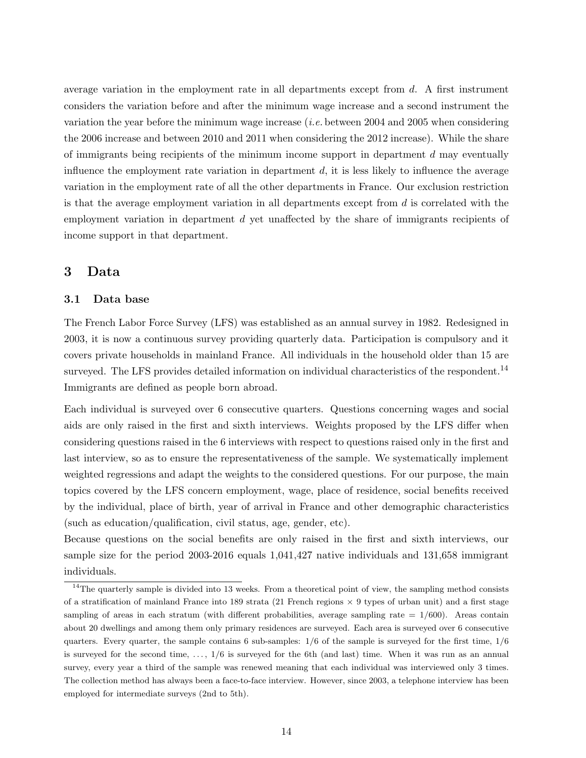average variation in the employment rate in all departments except from *d*. A first instrument considers the variation before and after the minimum wage increase and a second instrument the variation the year before the minimum wage increase (*i.e.* between 2004 and 2005 when considering the 2006 increase and between 2010 and 2011 when considering the 2012 increase). While the share of immigrants being recipients of the minimum income support in department *d* may eventually influence the employment rate variation in department *d*, it is less likely to influence the average variation in the employment rate of all the other departments in France. Our exclusion restriction is that the average employment variation in all departments except from *d* is correlated with the employment variation in department *d* yet unaffected by the share of immigrants recipients of income support in that department.

### **3 Data**

#### **3.1 Data base**

The French Labor Force Survey (LFS) was established as an annual survey in 1982. Redesigned in 2003, it is now a continuous survey providing quarterly data. Participation is compulsory and it covers private households in mainland France. All individuals in the household older than 15 are surveyed. The LFS provides detailed information on individual characteristics of the respondent.<sup>14</sup> Immigrants are defined as people born abroad.

Each individual is surveyed over 6 consecutive quarters. Questions concerning wages and social aids are only raised in the first and sixth interviews. Weights proposed by the LFS differ when considering questions raised in the 6 interviews with respect to questions raised only in the first and last interview, so as to ensure the representativeness of the sample. We systematically implement weighted regressions and adapt the weights to the considered questions. For our purpose, the main topics covered by the LFS concern employment, wage, place of residence, social benefits received by the individual, place of birth, year of arrival in France and other demographic characteristics (such as education/qualification, civil status, age, gender, etc).

Because questions on the social benefits are only raised in the first and sixth interviews, our sample size for the period 2003-2016 equals 1,041,427 native individuals and 131,658 immigrant individuals.

 $14$ The quarterly sample is divided into 13 weeks. From a theoretical point of view, the sampling method consists of a stratification of mainland France into 189 strata (21 French regions *×* 9 types of urban unit) and a first stage sampling of areas in each stratum (with different probabilities, average sampling rate = 1*/*600). Areas contain about 20 dwellings and among them only primary residences are surveyed. Each area is surveyed over 6 consecutive quarters. Every quarter, the sample contains  $6$  sub-samples:  $1/6$  of the sample is surveyed for the first time,  $1/6$ is surveyed for the second time,  $\dots$ ,  $1/6$  is surveyed for the 6th (and last) time. When it was run as an annual survey, every year a third of the sample was renewed meaning that each individual was interviewed only 3 times. The collection method has always been a face-to-face interview. However, since 2003, a telephone interview has been employed for intermediate surveys (2nd to 5th).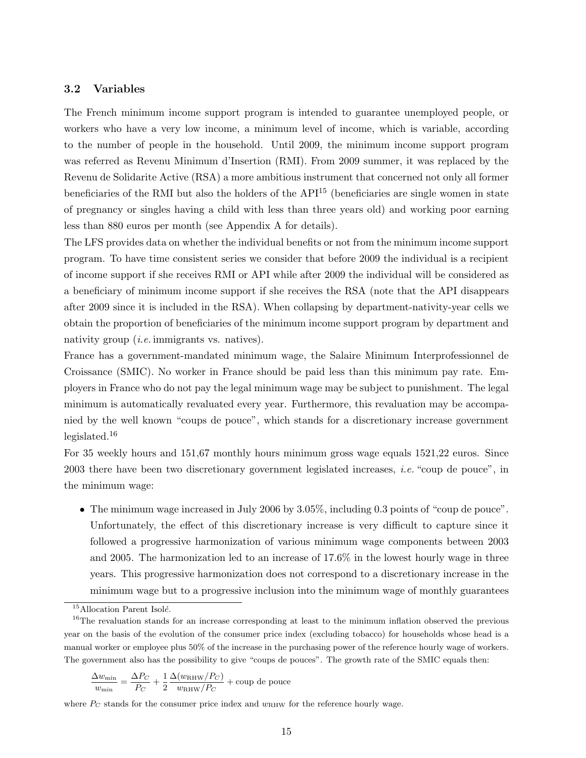#### **3.2 Variables**

The French minimum income support program is intended to guarantee unemployed people, or workers who have a very low income, a minimum level of income, which is variable, according to the number of people in the household. Until 2009, the minimum income support program was referred as Revenu Minimum d'Insertion (RMI). From 2009 summer, it was replaced by the Revenu de Solidarite Active (RSA) a more ambitious instrument that concerned not only all former beneficiaries of the RMI but also the holders of the  $API<sup>15</sup>$  (beneficiaries are single women in state of pregnancy or singles having a child with less than three years old) and working poor earning less than 880 euros per month (see Appendix A for details).

The LFS provides data on whether the individual benefits or not from the minimum income support program. To have time consistent series we consider that before 2009 the individual is a recipient of income support if she receives RMI or API while after 2009 the individual will be considered as a beneficiary of minimum income support if she receives the RSA (note that the API disappears after 2009 since it is included in the RSA). When collapsing by department-nativity-year cells we obtain the proportion of beneficiaries of the minimum income support program by department and nativity group (*i.e.* immigrants vs. natives).

France has a government-mandated minimum wage, the Salaire Minimum Interprofessionnel de Croissance (SMIC). No worker in France should be paid less than this minimum pay rate. Employers in France who do not pay the legal minimum wage may be subject to punishment. The legal minimum is automatically revaluated every year. Furthermore, this revaluation may be accompanied by the well known "coups de pouce", which stands for a discretionary increase government legislated.<sup>16</sup>

For 35 weekly hours and 151,67 monthly hours minimum gross wage equals 1521,22 euros. Since 2003 there have been two discretionary government legislated increases, *i.e.* "coup de pouce", in the minimum wage:

• The minimum wage increased in July 2006 by 3.05%, including 0.3 points of "coup de pouce". Unfortunately, the effect of this discretionary increase is very difficult to capture since it followed a progressive harmonization of various minimum wage components between 2003 and 2005. The harmonization led to an increase of 17.6% in the lowest hourly wage in three years. This progressive harmonization does not correspond to a discretionary increase in the minimum wage but to a progressive inclusion into the minimum wage of monthly guarantees

$$
\frac{\Delta w_{\rm min}}{w_{\rm min}} = \frac{\Delta P_C}{P_C} + \frac{1}{2}\frac{\Delta (w_{\rm RHW}/P_C)}{w_{\rm RHW}/P_C} + \text{coup de pouce}
$$

where  $P_C$  stands for the consumer price index and  $w_{\text{RHW}}$  for the reference hourly wage.

<sup>&</sup>lt;sup>15</sup>Allocation Parent Isolé.

<sup>&</sup>lt;sup>16</sup>The revaluation stands for an increase corresponding at least to the minimum inflation observed the previous year on the basis of the evolution of the consumer price index (excluding tobacco) for households whose head is a manual worker or employee plus 50% of the increase in the purchasing power of the reference hourly wage of workers. The government also has the possibility to give "coups de pouces". The growth rate of the SMIC equals then: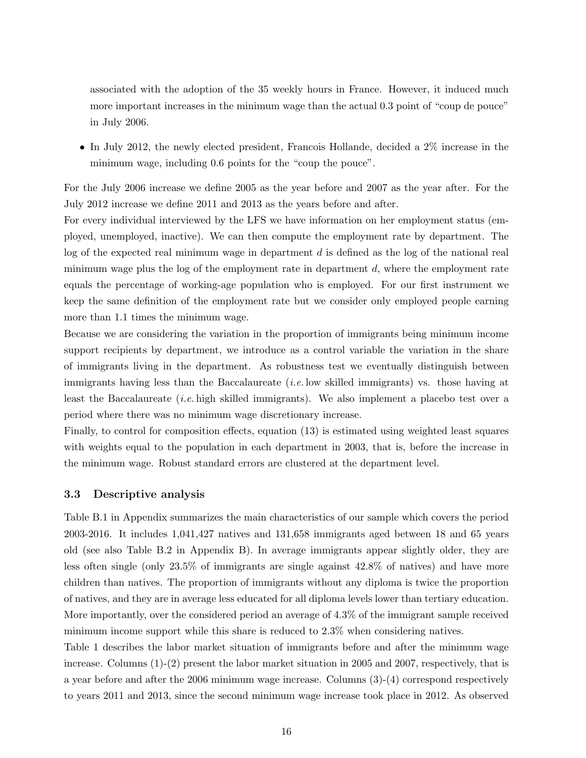associated with the adoption of the 35 weekly hours in France. However, it induced much more important increases in the minimum wage than the actual 0.3 point of "coup de pouce" in July 2006.

• In July 2012, the newly elected president, Francois Hollande, decided a 2% increase in the minimum wage, including 0.6 points for the "coup the pouce".

For the July 2006 increase we define 2005 as the year before and 2007 as the year after. For the July 2012 increase we define 2011 and 2013 as the years before and after.

For every individual interviewed by the LFS we have information on her employment status (employed, unemployed, inactive). We can then compute the employment rate by department. The log of the expected real minimum wage in department *d* is defined as the log of the national real minimum wage plus the log of the employment rate in department *d*, where the employment rate equals the percentage of working-age population who is employed. For our first instrument we keep the same definition of the employment rate but we consider only employed people earning more than 1.1 times the minimum wage.

Because we are considering the variation in the proportion of immigrants being minimum income support recipients by department, we introduce as a control variable the variation in the share of immigrants living in the department. As robustness test we eventually distinguish between immigrants having less than the Baccalaureate (*i.e.* low skilled immigrants) vs. those having at least the Baccalaureate (*i.e.* high skilled immigrants). We also implement a placebo test over a period where there was no minimum wage discretionary increase.

Finally, to control for composition effects, equation (13) is estimated using weighted least squares with weights equal to the population in each department in 2003, that is, before the increase in the minimum wage. Robust standard errors are clustered at the department level.

#### **3.3 Descriptive analysis**

Table B.1 in Appendix summarizes the main characteristics of our sample which covers the period 2003-2016. It includes 1,041,427 natives and 131,658 immigrants aged between 18 and 65 years old (see also Table B.2 in Appendix B). In average immigrants appear slightly older, they are less often single (only 23.5% of immigrants are single against 42.8% of natives) and have more children than natives. The proportion of immigrants without any diploma is twice the proportion of natives, and they are in average less educated for all diploma levels lower than tertiary education. More importantly, over the considered period an average of 4.3% of the immigrant sample received minimum income support while this share is reduced to 2.3% when considering natives.

Table 1 describes the labor market situation of immigrants before and after the minimum wage increase. Columns (1)-(2) present the labor market situation in 2005 and 2007, respectively, that is a year before and after the 2006 minimum wage increase. Columns (3)-(4) correspond respectively to years 2011 and 2013, since the second minimum wage increase took place in 2012. As observed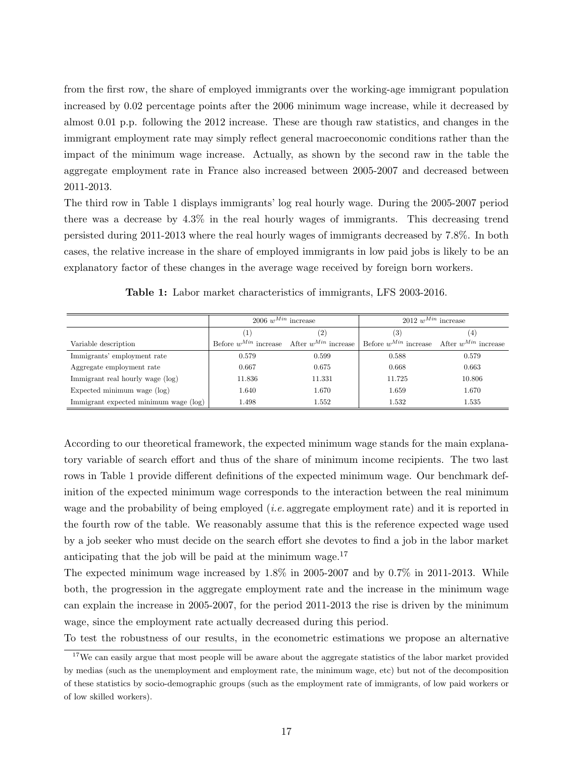from the first row, the share of employed immigrants over the working-age immigrant population increased by 0.02 percentage points after the 2006 minimum wage increase, while it decreased by almost 0.01 p.p. following the 2012 increase. These are though raw statistics, and changes in the immigrant employment rate may simply reflect general macroeconomic conditions rather than the impact of the minimum wage increase. Actually, as shown by the second raw in the table the aggregate employment rate in France also increased between 2005-2007 and decreased between 2011-2013.

The third row in Table 1 displays immigrants' log real hourly wage. During the 2005-2007 period there was a decrease by 4.3% in the real hourly wages of immigrants. This decreasing trend persisted during 2011-2013 where the real hourly wages of immigrants decreased by 7.8%. In both cases, the relative increase in the share of employed immigrants in low paid jobs is likely to be an explanatory factor of these changes in the average wage received by foreign born workers.

|                                       | 2006 $w^{Min}$ increase                            |                   | $2012 \; w^{Min}$ increase                         |        |
|---------------------------------------|----------------------------------------------------|-------------------|----------------------------------------------------|--------|
|                                       | T                                                  | $\left( 2\right)$ | (3)                                                | (4)    |
| Variable description                  | Before $w^{Min}$ increase After $w^{Min}$ increase |                   | Before $w^{Min}$ increase After $w^{Min}$ increase |        |
| Immigrants' employment rate           | 0.579                                              | 0.599             | 0.588                                              | 0.579  |
| Aggregate employment rate             | 0.667                                              | 0.675             | 0.668                                              | 0.663  |
| Immigrant real hourly wage (log)      | 11.836                                             | 11.331            | 11.725                                             | 10.806 |
| Expected minimum wage (log)           | 1.640                                              | 1.670             | 1.659                                              | 1.670  |
| Immigrant expected minimum wage (log) | 1.498                                              | 1.552             | 1.532                                              | 1.535  |

**Table 1:** Labor market characteristics of immigrants, LFS 2003-2016.

According to our theoretical framework, the expected minimum wage stands for the main explanatory variable of search effort and thus of the share of minimum income recipients. The two last rows in Table 1 provide different definitions of the expected minimum wage. Our benchmark definition of the expected minimum wage corresponds to the interaction between the real minimum wage and the probability of being employed (*i.e.* aggregate employment rate) and it is reported in the fourth row of the table. We reasonably assume that this is the reference expected wage used by a job seeker who must decide on the search effort she devotes to find a job in the labor market anticipating that the job will be paid at the minimum wage. $17$ 

The expected minimum wage increased by 1.8% in 2005-2007 and by 0.7% in 2011-2013. While both, the progression in the aggregate employment rate and the increase in the minimum wage can explain the increase in 2005-2007, for the period 2011-2013 the rise is driven by the minimum wage, since the employment rate actually decreased during this period.

To test the robustness of our results, in the econometric estimations we propose an alternative

 $17$ We can easily argue that most people will be aware about the aggregate statistics of the labor market provided by medias (such as the unemployment and employment rate, the minimum wage, etc) but not of the decomposition of these statistics by socio-demographic groups (such as the employment rate of immigrants, of low paid workers or of low skilled workers).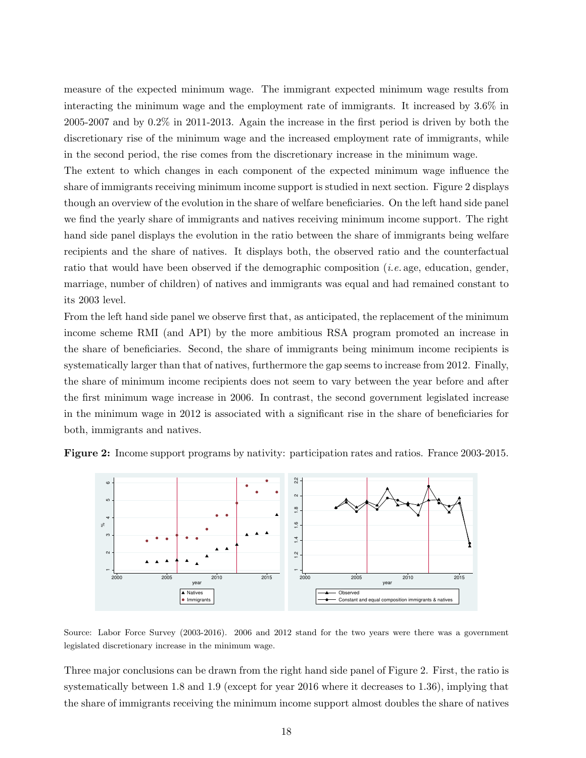measure of the expected minimum wage. The immigrant expected minimum wage results from interacting the minimum wage and the employment rate of immigrants. It increased by 3.6% in 2005-2007 and by 0.2% in 2011-2013. Again the increase in the first period is driven by both the discretionary rise of the minimum wage and the increased employment rate of immigrants, while in the second period, the rise comes from the discretionary increase in the minimum wage.

The extent to which changes in each component of the expected minimum wage influence the share of immigrants receiving minimum income support is studied in next section. Figure 2 displays though an overview of the evolution in the share of welfare beneficiaries. On the left hand side panel we find the yearly share of immigrants and natives receiving minimum income support. The right hand side panel displays the evolution in the ratio between the share of immigrants being welfare recipients and the share of natives. It displays both, the observed ratio and the counterfactual ratio that would have been observed if the demographic composition (*i.e.* age, education, gender, marriage, number of children) of natives and immigrants was equal and had remained constant to its 2003 level.

From the left hand side panel we observe first that, as anticipated, the replacement of the minimum income scheme RMI (and API) by the more ambitious RSA program promoted an increase in the share of beneficiaries. Second, the share of immigrants being minimum income recipients is systematically larger than that of natives, furthermore the gap seems to increase from 2012. Finally, the share of minimum income recipients does not seem to vary between the year before and after the first minimum wage increase in 2006. In contrast, the second government legislated increase in the minimum wage in 2012 is associated with a significant rise in the share of beneficiaries for both, immigrants and natives.



**Figure 2:** Income support programs by nativity: participation rates and ratios. France 2003-2015.

Source: Labor Force Survey (2003-2016). 2006 and 2012 stand for the two years were there was a government legislated discretionary increase in the minimum wage.

Three major conclusions can be drawn from the right hand side panel of Figure 2. First, the ratio is systematically between 1.8 and 1.9 (except for year 2016 where it decreases to 1.36), implying that the share of immigrants receiving the minimum income support almost doubles the share of natives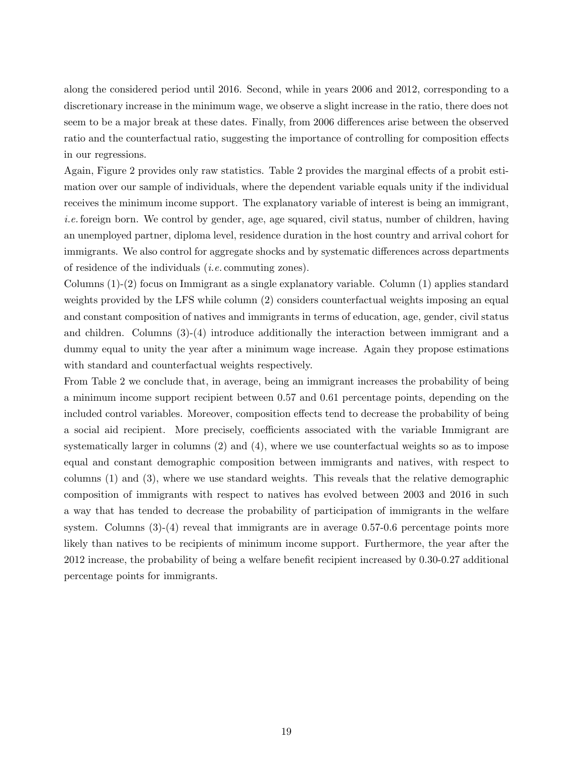along the considered period until 2016. Second, while in years 2006 and 2012, corresponding to a discretionary increase in the minimum wage, we observe a slight increase in the ratio, there does not seem to be a major break at these dates. Finally, from 2006 differences arise between the observed ratio and the counterfactual ratio, suggesting the importance of controlling for composition effects in our regressions.

Again, Figure 2 provides only raw statistics. Table 2 provides the marginal effects of a probit estimation over our sample of individuals, where the dependent variable equals unity if the individual receives the minimum income support. The explanatory variable of interest is being an immigrant, *i.e.* foreign born. We control by gender, age, age squared, civil status, number of children, having an unemployed partner, diploma level, residence duration in the host country and arrival cohort for immigrants. We also control for aggregate shocks and by systematic differences across departments of residence of the individuals (*i.e.* commuting zones).

Columns (1)-(2) focus on Immigrant as a single explanatory variable. Column (1) applies standard weights provided by the LFS while column (2) considers counterfactual weights imposing an equal and constant composition of natives and immigrants in terms of education, age, gender, civil status and children. Columns (3)-(4) introduce additionally the interaction between immigrant and a dummy equal to unity the year after a minimum wage increase. Again they propose estimations with standard and counterfactual weights respectively.

From Table 2 we conclude that, in average, being an immigrant increases the probability of being a minimum income support recipient between 0.57 and 0.61 percentage points, depending on the included control variables. Moreover, composition effects tend to decrease the probability of being a social aid recipient. More precisely, coefficients associated with the variable Immigrant are systematically larger in columns (2) and (4), where we use counterfactual weights so as to impose equal and constant demographic composition between immigrants and natives, with respect to columns (1) and (3), where we use standard weights. This reveals that the relative demographic composition of immigrants with respect to natives has evolved between 2003 and 2016 in such a way that has tended to decrease the probability of participation of immigrants in the welfare system. Columns  $(3)-(4)$  reveal that immigrants are in average 0.57-0.6 percentage points more likely than natives to be recipients of minimum income support. Furthermore, the year after the 2012 increase, the probability of being a welfare benefit recipient increased by 0.30-0.27 additional percentage points for immigrants.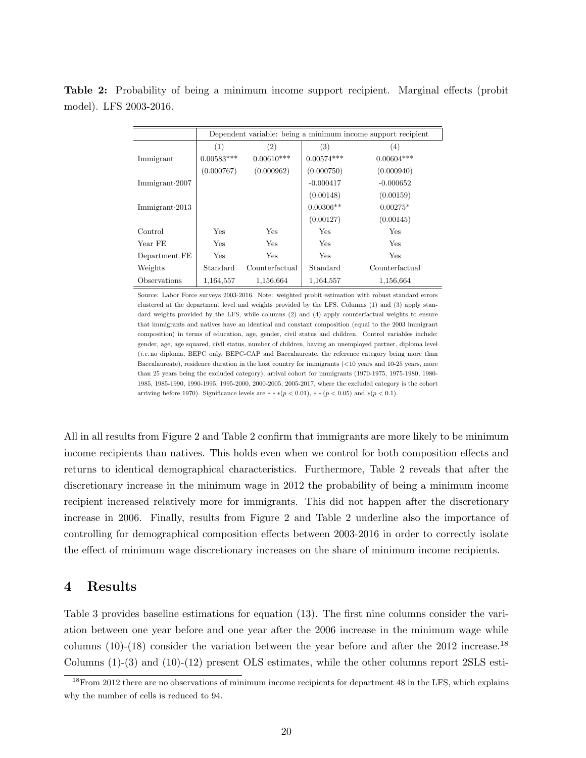**Table 2:** Probability of being a minimum income support recipient. Marginal effects (probit model). LFS 2003-2016.

|                        |              |                   |              | Dependent variable: being a minimum income support recipient |
|------------------------|--------------|-------------------|--------------|--------------------------------------------------------------|
|                        | (1)          | $\left( 2\right)$ | (3)          | (4)                                                          |
| Immigrant              | $0.00583***$ | $0.00610***$      | $0.00574***$ | $0.00604***$                                                 |
|                        | (0.000767)   | (0.000962)        | (0.000750)   | (0.000940)                                                   |
| Immigrant $\cdot 2007$ |              |                   | $-0.000417$  | $-0.000652$                                                  |
|                        |              |                   | (0.00148)    | (0.00159)                                                    |
| Immigrant.2013         |              |                   | $0.00306**$  | $0.00275*$                                                   |
|                        |              |                   | (0.00127)    | (0.00145)                                                    |
| Control                | Yes          | Yes               | Yes          | Yes                                                          |
| Year FE                | Yes          | <b>Yes</b>        | Yes          | Yes                                                          |
| Department FE          | Yes          | Yes               | Yes          | Yes                                                          |
| Weights                | Standard     | Counterfactual    | Standard     | Counterfactual                                               |
| Observations           | 1,164,557    | 1,156,664         | 1,164,557    | 1,156,664                                                    |

Source: Labor Force surveys 2003-2016. Note: weighted probit estimation with robust standard errors clustered at the department level and weights provided by the LFS. Columns (1) and (3) apply standard weights provided by the LFS, while columns (2) and (4) apply counterfactual weights to ensure that immigrants and natives have an identical and constant composition (equal to the 2003 immigrant composition) in terms of education, age, gender, civil status and children. Control variables include: gender, age, age squared, civil status, number of children, having an unemployed partner, diploma level (*i.e.* no diploma, BEPC only, BEPC-CAP and Baccalaureate, the reference category being more than Baccalaureate), residence duration in the host country for immigrants (*<*10 years and 10-25 years, more than 25 years being the excluded category), arrival cohort for immigrants (1970-1975, 1975-1980, 1980- 1985, 1985-1990, 1990-1995, 1995-2000, 2000-2005, 2005-2017, where the excluded category is the cohort arriving before 1970). Significance levels are  $**$  *∗*( $p < 0.01$ ),  $**$  ( $p < 0.05$ ) and  $*(p < 0.1)$ .

All in all results from Figure 2 and Table 2 confirm that immigrants are more likely to be minimum income recipients than natives. This holds even when we control for both composition effects and returns to identical demographical characteristics. Furthermore, Table 2 reveals that after the discretionary increase in the minimum wage in 2012 the probability of being a minimum income recipient increased relatively more for immigrants. This did not happen after the discretionary increase in 2006. Finally, results from Figure 2 and Table 2 underline also the importance of controlling for demographical composition effects between 2003-2016 in order to correctly isolate the effect of minimum wage discretionary increases on the share of minimum income recipients.

### **4 Results**

Table 3 provides baseline estimations for equation (13). The first nine columns consider the variation between one year before and one year after the 2006 increase in the minimum wage while columns (10)-(18) consider the variation between the year before and after the 2012 increase.<sup>18</sup> Columns  $(1)-(3)$  and  $(10)-(12)$  present OLS estimates, while the other columns report 2SLS esti-

<sup>&</sup>lt;sup>18</sup>From 2012 there are no observations of minimum income recipients for department 48 in the LFS, which explains why the number of cells is reduced to 94.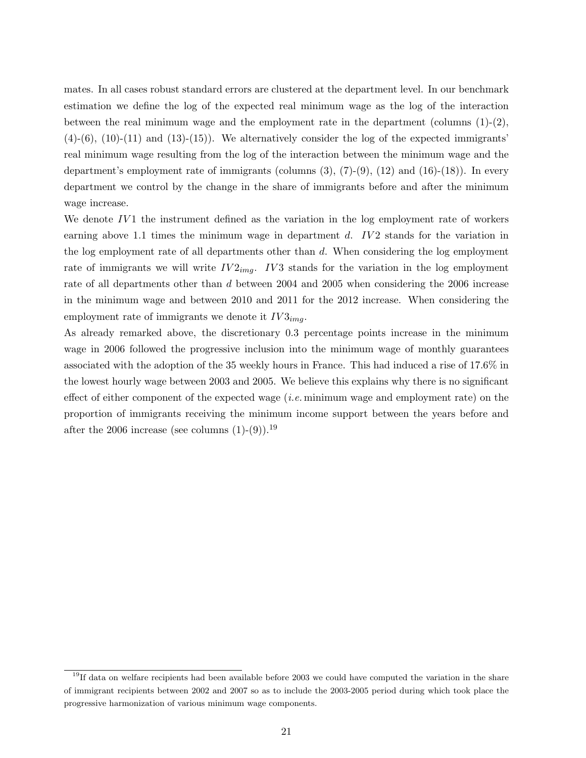mates. In all cases robust standard errors are clustered at the department level. In our benchmark estimation we define the log of the expected real minimum wage as the log of the interaction between the real minimum wage and the employment rate in the department (columns  $(1)-(2)$ ,  $(4)-(6)$ ,  $(10)-(11)$  and  $(13)-(15)$ ). We alternatively consider the log of the expected immigrants' real minimum wage resulting from the log of the interaction between the minimum wage and the department's employment rate of immigrants (columns  $(3)$ ,  $(7)-(9)$ ,  $(12)$  and  $(16)-(18)$ ). In every department we control by the change in the share of immigrants before and after the minimum wage increase.

We denote IV1 the instrument defined as the variation in the log employment rate of workers earning above 1.1 times the minimum wage in department *d. IV2* stands for the variation in the log employment rate of all departments other than *d*. When considering the log employment rate of immigrants we will write  $IV2_{img}$ .  $IV3$  stands for the variation in the log employment rate of all departments other than *d* between 2004 and 2005 when considering the 2006 increase in the minimum wage and between 2010 and 2011 for the 2012 increase. When considering the employment rate of immigrants we denote it *IV* 3*img*.

As already remarked above, the discretionary 0.3 percentage points increase in the minimum wage in 2006 followed the progressive inclusion into the minimum wage of monthly guarantees associated with the adoption of the 35 weekly hours in France. This had induced a rise of 17.6% in the lowest hourly wage between 2003 and 2005. We believe this explains why there is no significant effect of either component of the expected wage (*i.e.* minimum wage and employment rate) on the proportion of immigrants receiving the minimum income support between the years before and after the 2006 increase (see columns  $(1)-(9)$ ).<sup>19</sup>

<sup>&</sup>lt;sup>19</sup>If data on welfare recipients had been available before 2003 we could have computed the variation in the share of immigrant recipients between 2002 and 2007 so as to include the 2003-2005 period during which took place the progressive harmonization of various minimum wage components.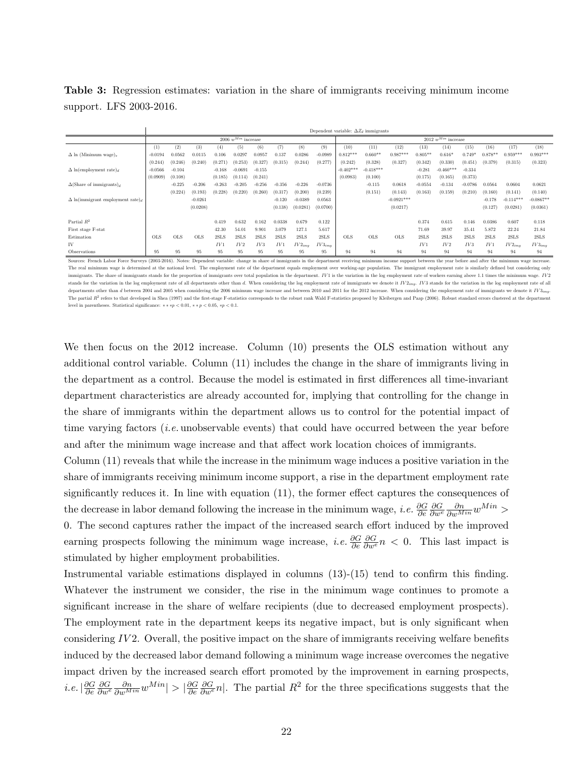**Table 3:** Regression estimates: variation in the share of immigrants receiving minimum income support. LFS 2003-2016.

|                                                     |            | Dependent variable: $\Delta Z_d$ immigrants |            |          |           |          |          |                         |             |             |             |              |           |             |           |           |             |             |
|-----------------------------------------------------|------------|---------------------------------------------|------------|----------|-----------|----------|----------|-------------------------|-------------|-------------|-------------|--------------|-----------|-------------|-----------|-----------|-------------|-------------|
|                                                     |            | 2006 $w^{Min}$ increase                     |            |          |           |          |          | 2012 $w^{Min}$ increase |             |             |             |              |           |             |           |           |             |             |
|                                                     | (1)        | (2)                                         | (3)        | (4)      | (5)       | (6)      | (7)      | (8)                     | (9)         | (10)        | (11)        | (12)         | (13)      | (14)        | (15)      | (16)      | (17)        | (18)        |
| $\Delta$ ln (Minimum wage),                         | $-0.019$   | 0.0562                                      | 0.0115     | 0.106    | 0.029'    | 0.0957   | 0.137    | 0.0286                  | $-0.0989$   | $0.812***$  | $0.660**$   | $0.987***$   | $0.805**$ | $0.616*$    | 0.749     | $0.878**$ | $0.959***$  | $0.993***$  |
|                                                     | (0.244)    | (0.246)                                     | (0.240)    | 0.271    | (0.253)   | (0.327)  | (0.315)  | (0.244)                 | (0.277)     | (0.242)     | (0.328)     | (0.327)      | (0.342)   | (0.330)     | (0.451)   | (0.379)   | (0.315)     | (0.323)     |
| $\Delta$ ln(employment rate),                       | $-0.0566$  | $-0.104$                                    |            | $-0.168$ | $-0.0691$ | $-0.155$ |          |                         |             | $-0.402***$ | $-0.418***$ |              | $-0.28$   | $-0.460***$ | $-0.334$  |           |             |             |
|                                                     | (0.0909)   | (0.108)                                     |            | (0.185)  | (0.114)   | (0.241)  |          |                         |             | (0.0983)    | (0.100)     |              | (0.175)   | (0.165)     | (0.373)   |           |             |             |
| $\Delta$ (Share of immigrants) <sub>d</sub>         |            | $-0.225$                                    | $-0.206$   | $-0.263$ | $-0.205$  | $-0.256$ | $-0.356$ | $-0.226$                | $-0.0736$   |             | $-0.115$    | 0.0618       | $-0.0554$ | $-0.134$    | $-0.0786$ | 0.0564    | 0.0604      | 0.0621      |
|                                                     |            | (0.224)                                     | (0.193)    | (0.228)  | (0.220)   | (0.260)  | (0.317)  | (0.200)                 | (0.239)     |             | (0.151)     | (0.143)      | (0.163)   | (0.159)     | (0.210)   | (0.160)   | (0.141)     | (0.140)     |
| $\Delta$ ln(immigrant employment rate) <sub>d</sub> |            |                                             | $-0.0261$  |          |           |          | $-0.120$ | $-0.0389$               | 0.0563      |             |             | $-0.0921***$ |           |             |           | $-0.178$  | $-0.114***$ | $-0.0867**$ |
|                                                     |            |                                             | (0.0208)   |          |           |          | (0.138)  | (0.0281)                | (0.0700)    |             |             | (0.0217)     |           |             |           | (0.127)   | (0.0281)    | (0.0361)    |
|                                                     |            |                                             |            |          |           |          |          |                         |             |             |             |              |           |             |           |           |             |             |
| Partial $R^2$                                       |            |                                             |            | 0.419    | 0.632     | 0.162    | 0.0338   | 0.679                   | 0.122       |             |             |              | 0.374     | 0.615       | 0.146     | 0.0386    | 0.607       | 0.118       |
| First stage F-stat                                  |            |                                             |            | 42.30    | 54.01     | 9.901    | 3.079    | 127.1                   | 5.617       |             |             |              | 71.69     | 39.97       | 35.41     | 5.872     | 22.24       | 21.84       |
| Estimation                                          | <b>OLS</b> | <b>OLS</b>                                  | <b>OLS</b> | 2SLS     | 2SLS      | 2SLS     | 2SLS     | 2SLS                    | 2SLS        | <b>OLS</b>  | <b>OLS</b>  | <b>OLS</b>   | 2SLS      | 2SLS        | 2SLS      | 2SLS      | 2SLS        | 2SLS        |
| IV                                                  |            |                                             |            | IV1      | IV2       | IV3      | IV1      | $IV2_{img}$             | $IV3_{img}$ |             |             |              | IV1       | IV2         | IV3       | IV1       | $IV2_{img}$ | $IV3_{img}$ |
| Observations                                        | 95         | 95                                          | 95         | 95       | 95        | 95       | 95       | 95                      | 95          | 94          | 94          | 94           | 94        | 94          | 94        | 94        | 94          | 94          |

Sources: French Labor Force Surveys (2003-2016). Notes: Dependent variable: change in share of immigrants in the department receiving minimum income support between the year before and after the minimum The real minimum wage is determined at the national level. The employment rate of the department equals employment over working-age population. The immigrant employment rate is similarly defined but considering only immigrants. The share of immigrants stands for the proportion of immigrants over total population in the department. IV1 is the variation in the log employment rate of workers earning above 1.1 times the minimum wage. IV2 stands for the variation in the log employment rate of all departments other than d. When considering the log employment rate of immigrants we denote it  $IV2_{img}$ .  $IV3$  stands for the variation in the log employment rate of departments other than  $d$  between 2004 and 2005 when considering the 2006 minimum wage increase and between 2010 and 2011 for the 2012 increase. When considering the employment rate of immigrants we denote it  $IV3_{img}$ The partial  $R^2$  refers to that developed in Shea (1997) and the first-stage F-statistics corresponds to the robust rank Wald F-statistics proposed by Kleibergen and Paap (2006). Robust standard errors clustered at the de level in parentheses. Statistical significance: *∗ ∗ ∗p <* <sup>0</sup>*.*01, *∗ ∗ p <* <sup>0</sup>*.*05, *<sup>∗</sup>p <* <sup>0</sup>*.*1.

We then focus on the 2012 increase. Column (10) presents the OLS estimation without any additional control variable. Column (11) includes the change in the share of immigrants living in the department as a control. Because the model is estimated in first differences all time-invariant department characteristics are already accounted for, implying that controlling for the change in the share of immigrants within the department allows us to control for the potential impact of time varying factors (*i.e.* unobservable events) that could have occurred between the year before and after the minimum wage increase and that affect work location choices of immigrants.

Column (11) reveals that while the increase in the minimum wage induces a positive variation in the share of immigrants receiving minimum income support, a rise in the department employment rate significantly reduces it. In line with equation (11), the former effect captures the consequences of the decrease in labor demand following the increase in the minimum wage, *i.e.*  $\frac{\partial G}{\partial e}$ *∂G ∂w<sup>e</sup> ∂n ∂wMin <sup>w</sup>M in <sup>&</sup>gt;* 0. The second captures rather the impact of the increased search effort induced by the improved earning prospects following the minimum wage increase, *i.e.*  $\frac{\partial G}{\partial e}$ *∂G ∂w<sup>e</sup> n <* 0. This last impact is stimulated by higher employment probabilities.

Instrumental variable estimations displayed in columns (13)-(15) tend to confirm this finding. Whatever the instrument we consider, the rise in the minimum wage continues to promote a significant increase in the share of welfare recipients (due to decreased employment prospects). The employment rate in the department keeps its negative impact, but is only significant when considering *IV* 2. Overall, the positive impact on the share of immigrants receiving welfare benefits induced by the decreased labor demand following a minimum wage increase overcomes the negative impact driven by the increased search effort promoted by the improvement in earning prospects, *i.e.*  $\left| \frac{\partial G}{\partial e} \right|$ *∂e*  $\frac{\partial G}{\partial w}$  $\frac{\partial n}{\partial w^{Min}}$ *w*<sup>*Min*</sup></sub> $|$  >  $|\frac{\partial G}{\partial e}$ *∂e ∂G*<sub>*ave*</sub> *n*|. The partial *R*<sup>2</sup> for the three specifications suggests that the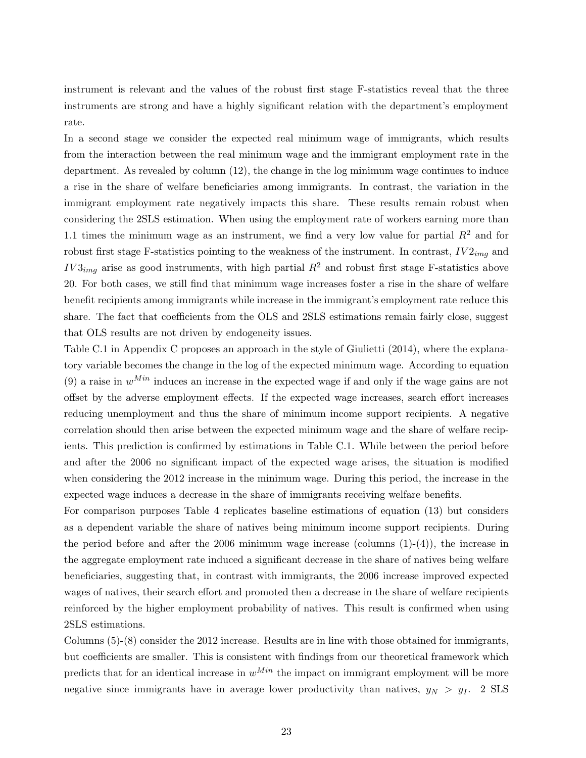instrument is relevant and the values of the robust first stage F-statistics reveal that the three instruments are strong and have a highly significant relation with the department's employment rate.

In a second stage we consider the expected real minimum wage of immigrants, which results from the interaction between the real minimum wage and the immigrant employment rate in the department. As revealed by column (12), the change in the log minimum wage continues to induce a rise in the share of welfare beneficiaries among immigrants. In contrast, the variation in the immigrant employment rate negatively impacts this share. These results remain robust when considering the 2SLS estimation. When using the employment rate of workers earning more than 1.1 times the minimum wage as an instrument, we find a very low value for partial  $R^2$  and for robust first stage F-statistics pointing to the weakness of the instrument. In contrast,  $IV2_{imq}$  and  $IV3_{img}$  arise as good instruments, with high partial  $R^2$  and robust first stage F-statistics above 20. For both cases, we still find that minimum wage increases foster a rise in the share of welfare benefit recipients among immigrants while increase in the immigrant's employment rate reduce this share. The fact that coefficients from the OLS and 2SLS estimations remain fairly close, suggest that OLS results are not driven by endogeneity issues.

Table C.1 in Appendix C proposes an approach in the style of Giulietti (2014), where the explanatory variable becomes the change in the log of the expected minimum wage. According to equation (9) a raise in  $w^{Min}$  induces an increase in the expected wage if and only if the wage gains are not offset by the adverse employment effects. If the expected wage increases, search effort increases reducing unemployment and thus the share of minimum income support recipients. A negative correlation should then arise between the expected minimum wage and the share of welfare recipients. This prediction is confirmed by estimations in Table C.1. While between the period before and after the 2006 no significant impact of the expected wage arises, the situation is modified when considering the 2012 increase in the minimum wage. During this period, the increase in the expected wage induces a decrease in the share of immigrants receiving welfare benefits.

For comparison purposes Table 4 replicates baseline estimations of equation (13) but considers as a dependent variable the share of natives being minimum income support recipients. During the period before and after the 2006 minimum wage increase (columns  $(1)-(4)$ ), the increase in the aggregate employment rate induced a significant decrease in the share of natives being welfare beneficiaries, suggesting that, in contrast with immigrants, the 2006 increase improved expected wages of natives, their search effort and promoted then a decrease in the share of welfare recipients reinforced by the higher employment probability of natives. This result is confirmed when using 2SLS estimations.

Columns (5)-(8) consider the 2012 increase. Results are in line with those obtained for immigrants, but coefficients are smaller. This is consistent with findings from our theoretical framework which predicts that for an identical increase in  $w^{Min}$  the impact on immigrant employment will be more negative since immigrants have in average lower productivity than natives,  $y_N > y_I$ . 2 SLS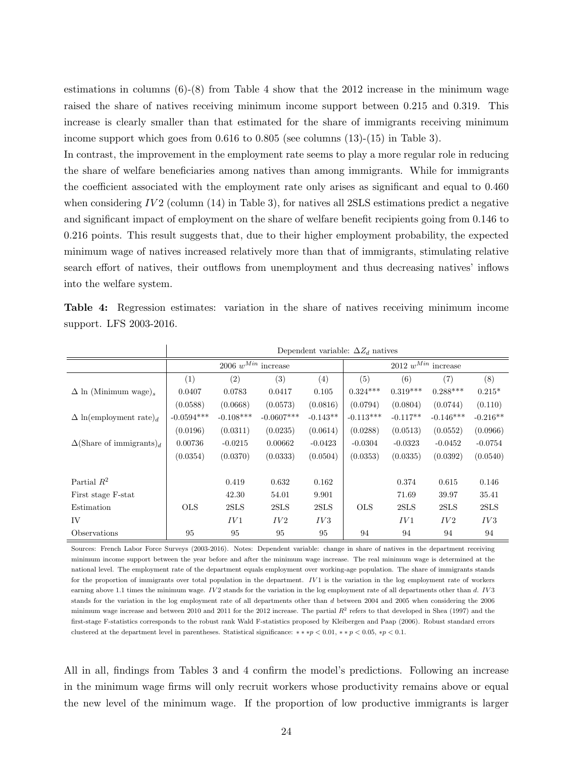estimations in columns  $(6)-(8)$  from Table 4 show that the 2012 increase in the minimum wage raised the share of natives receiving minimum income support between 0.215 and 0.319. This increase is clearly smaller than that estimated for the share of immigrants receiving minimum income support which goes from 0.616 to 0.805 (see columns (13)-(15) in Table 3).

In contrast, the improvement in the employment rate seems to play a more regular role in reducing the share of welfare beneficiaries among natives than among immigrants. While for immigrants the coefficient associated with the employment rate only arises as significant and equal to 0.460 when considering *IV* 2 (column (14) in Table 3), for natives all 2SLS estimations predict a negative and significant impact of employment on the share of welfare benefit recipients going from 0.146 to 0.216 points. This result suggests that, due to their higher employment probability, the expected minimum wage of natives increased relatively more than that of immigrants, stimulating relative search effort of natives, their outflows from unemployment and thus decreasing natives' inflows into the welfare system.

| <b>Table 4:</b> Regression estimates: variation in the share of natives receiving minimum income |  |  |  |
|--------------------------------------------------------------------------------------------------|--|--|--|
| support. LFS 2003-2016.                                                                          |  |  |  |

|                                             |              |                         |              |            | Dependent variable: $\Delta Z_d$ natives |            |             |            |  |  |
|---------------------------------------------|--------------|-------------------------|--------------|------------|------------------------------------------|------------|-------------|------------|--|--|
|                                             |              | 2006 $w^{Min}$ increase |              |            | 2012 $w^{Min}$ increase                  |            |             |            |  |  |
|                                             | (1)          | (2)                     | (3)          | (4)        | (5)                                      | (6)        | (7)         | (8)        |  |  |
| $\Delta$ ln (Minimum wage) <sub>s</sub>     | 0.0407       | 0.0783                  | 0.0417       | 0.105      | $0.324***$                               | $0.319***$ | $0.288***$  | $0.215*$   |  |  |
|                                             | (0.0588)     | (0.0668)                | (0.0573)     | (0.0816)   | (0.0794)                                 | (0.0804)   | (0.0744)    | (0.110)    |  |  |
| $\Delta$ ln(employment rate) <sub>d</sub>   | $-0.0594***$ | $-0.108***$             | $-0.0607***$ | $-0.143**$ | $-0.113***$                              | $-0.117**$ | $-0.146***$ | $-0.216**$ |  |  |
|                                             | (0.0196)     | (0.0311)                | (0.0235)     | (0.0614)   | (0.0288)                                 | (0.0513)   | (0.0552)    | (0.0966)   |  |  |
| $\Delta$ (Share of immigrants) <sub>d</sub> | 0.00736      | $-0.0215$               | 0.00662      | $-0.0423$  | $-0.0304$                                | $-0.0323$  | $-0.0452$   | $-0.0754$  |  |  |
|                                             | (0.0354)     | (0.0370)                | (0.0333)     | (0.0504)   | (0.0353)                                 | (0.0335)   | (0.0392)    | (0.0540)   |  |  |
|                                             |              |                         |              |            |                                          |            |             |            |  |  |
| Partial $R^2$                               |              | 0.419                   | 0.632        | 0.162      |                                          | 0.374      | 0.615       | 0.146      |  |  |
| First stage F-stat                          |              | 42.30                   | 54.01        | 9.901      |                                          | 71.69      | 39.97       | 35.41      |  |  |
| Estimation                                  | <b>OLS</b>   | 2SLS                    | 2SLS         | 2SLS       | <b>OLS</b>                               | 2SLS       | 2SLS        | 2SLS       |  |  |
| IV                                          |              | IV1                     | IV2          | IV3        |                                          | IV1        | IV2         | IV3        |  |  |
| Observations                                | 95           | 95                      | 95           | 95         | 94                                       | 94         | 94          | 94         |  |  |

Sources: French Labor Force Surveys (2003-2016). Notes: Dependent variable: change in share of natives in the department receiving minimum income support between the year before and after the minimum wage increase. The real minimum wage is determined at the national level. The employment rate of the department equals employment over working-age population. The share of immigrants stands for the proportion of immigrants over total population in the department. *IV* 1 is the variation in the log employment rate of workers earning above 1.1 times the minimum wage. *IV2* stands for the variation in the log employment rate of all departments other than *d*. *IV3* stands for the variation in the log employment rate of all departments other than *d* between 2004 and 2005 when considering the 2006 minimum wage increase and between 2010 and 2011 for the 2012 increase. The partial  $R^2$  refers to that developed in Shea (1997) and the first-stage F-statistics corresponds to the robust rank Wald F-statistics proposed by Kleibergen and Paap (2006). Robust standard errors clustered at the department level in parentheses. Statistical significance: *∗ ∗ ∗p <* <sup>0</sup>*.*01, *∗ ∗ p <* <sup>0</sup>*.*05, *<sup>∗</sup>p <* <sup>0</sup>*.*1.

All in all, findings from Tables 3 and 4 confirm the model's predictions. Following an increase in the minimum wage firms will only recruit workers whose productivity remains above or equal the new level of the minimum wage. If the proportion of low productive immigrants is larger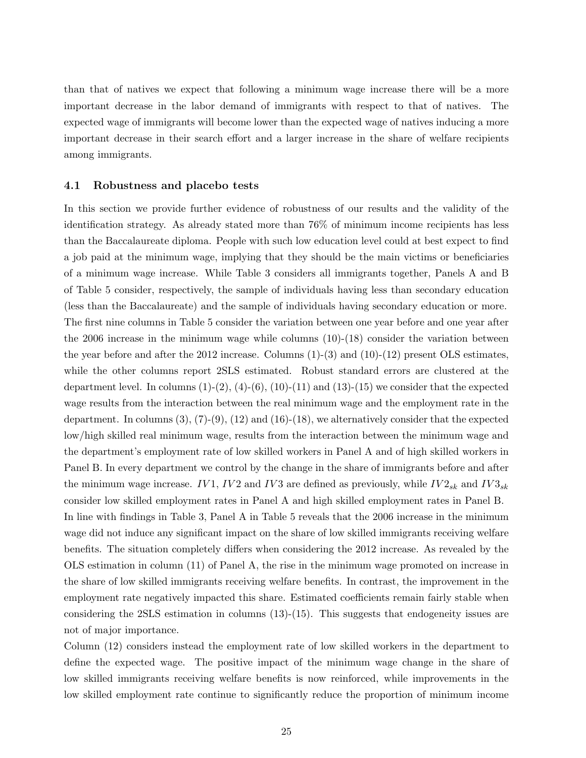than that of natives we expect that following a minimum wage increase there will be a more important decrease in the labor demand of immigrants with respect to that of natives. The expected wage of immigrants will become lower than the expected wage of natives inducing a more important decrease in their search effort and a larger increase in the share of welfare recipients among immigrants.

#### **4.1 Robustness and placebo tests**

In this section we provide further evidence of robustness of our results and the validity of the identification strategy. As already stated more than 76% of minimum income recipients has less than the Baccalaureate diploma. People with such low education level could at best expect to find a job paid at the minimum wage, implying that they should be the main victims or beneficiaries of a minimum wage increase. While Table 3 considers all immigrants together, Panels A and B of Table 5 consider, respectively, the sample of individuals having less than secondary education (less than the Baccalaureate) and the sample of individuals having secondary education or more. The first nine columns in Table 5 consider the variation between one year before and one year after the 2006 increase in the minimum wage while columns (10)-(18) consider the variation between the year before and after the 2012 increase. Columns  $(1)-(3)$  and  $(10)-(12)$  present OLS estimates, while the other columns report 2SLS estimated. Robust standard errors are clustered at the department level. In columns  $(1)-(2)$ ,  $(4)-(6)$ ,  $(10)-(11)$  and  $(13)-(15)$  we consider that the expected wage results from the interaction between the real minimum wage and the employment rate in the department. In columns  $(3), (7)-(9), (12)$  and  $(16)-(18)$ , we alternatively consider that the expected low/high skilled real minimum wage, results from the interaction between the minimum wage and the department's employment rate of low skilled workers in Panel A and of high skilled workers in Panel B. In every department we control by the change in the share of immigrants before and after the minimum wage increase.  $IV1$ ,  $IV2$  and  $IV3$  are defined as previously, while  $IV2_{sk}$  and  $IV3_{sk}$ consider low skilled employment rates in Panel A and high skilled employment rates in Panel B. In line with findings in Table 3, Panel A in Table 5 reveals that the 2006 increase in the minimum wage did not induce any significant impact on the share of low skilled immigrants receiving welfare benefits. The situation completely differs when considering the 2012 increase. As revealed by the OLS estimation in column (11) of Panel A, the rise in the minimum wage promoted on increase in the share of low skilled immigrants receiving welfare benefits. In contrast, the improvement in the employment rate negatively impacted this share. Estimated coefficients remain fairly stable when considering the 2SLS estimation in columns (13)-(15). This suggests that endogeneity issues are not of major importance.

Column (12) considers instead the employment rate of low skilled workers in the department to define the expected wage. The positive impact of the minimum wage change in the share of low skilled immigrants receiving welfare benefits is now reinforced, while improvements in the low skilled employment rate continue to significantly reduce the proportion of minimum income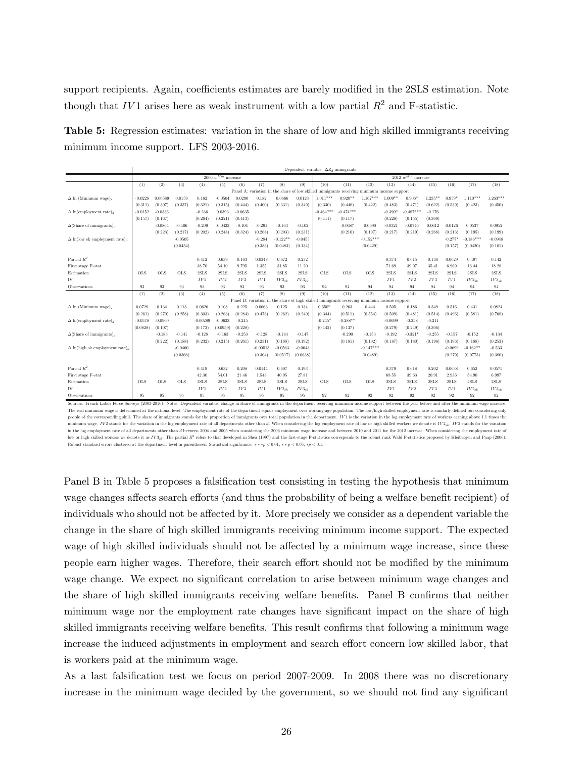support recipients. Again, coefficients estimates are barely modified in the 2SLS estimation. Note though that  $IV1$  arises here as weak instrument with a low partial  $R^2$  and F-statistic.

**Table 5:** Regression estimates: variation in the share of low and high skilled immigrants receiving minimum income support. LFS 2003-2016.

|                                                                                                                                                                                                                         |            |            |            |            |                         |           |                                 |            |            | Dependent variable: $\Delta Z_d$ immigrants                                                 |             |             |           |                         |            |           |             |              |
|-------------------------------------------------------------------------------------------------------------------------------------------------------------------------------------------------------------------------|------------|------------|------------|------------|-------------------------|-----------|---------------------------------|------------|------------|---------------------------------------------------------------------------------------------|-------------|-------------|-----------|-------------------------|------------|-----------|-------------|--------------|
|                                                                                                                                                                                                                         |            |            |            |            | $2006~w^{Min}$ increase |           |                                 |            |            |                                                                                             |             |             |           | $2012~w^{Min}$ increase |            |           |             |              |
|                                                                                                                                                                                                                         | (1)        | (2)        | (3)        | (4)        | (5)                     | (6)       | (7)                             | (8)        | (9)        | (10)                                                                                        | (11)        | (12)        | (13)      | (14)                    | (15)       | (16)      | (17)        | (18)         |
|                                                                                                                                                                                                                         |            |            |            |            |                         |           | Panel A: variation in the share |            |            | of low skilled immigrants receiving minimum income support                                  |             |             |           |                         |            |           |             |              |
| $\Delta$ ln (Minimum wage) <sub>s</sub>                                                                                                                                                                                 | $-0.0228$  | 0.00589    | 0.0159     | 0.162      | $-0.0504$               | 0.0290    | 0.182                           | 0.0666     | 0.0123     | $1.011***$                                                                                  | $0.920**$   | $1.167***$  | $1.009**$ | $0.906*$                | $1.235***$ | $0.959*$  | $1.110***$  | $1.263***$   |
|                                                                                                                                                                                                                         | (0.311)    | (0.307)    | (0.337)    | (0.321)    | (0.315)                 | (0.444)   | (0.400)                         | (0.331)    | (0.349)    | (0.330)                                                                                     | (0.448)     | (0.422)     | (0.483)   | (0.471)                 | (0.622)    | (0.539)   | (0.423)     | (0.450)      |
| $\Delta$ ln(employment rate) <sub>d</sub>                                                                                                                                                                               | $-0.0152$  | $-0.0336$  |            | $-0.236$   | 0.0393                  | $-0.0635$ |                                 |            |            | $-0.464***$                                                                                 | $-0.474***$ |             | $-0.390*$ | $-0.487***$             | $-0.176$   |           |             |              |
|                                                                                                                                                                                                                         | (0.157)    | (0.167)    |            | (0.264)    | (0.221)                 | (0.413)   |                                 |            |            | (0.111)                                                                                     | (0.117)     |             | (0.228)   | (0.155)                 | (0.369)    |           |             |              |
| $\Delta$ (Share of immigrants) <sub>d</sub>                                                                                                                                                                             |            | $-0.0864$  | $-0.106$   | $-0.209$   | $-0.0423$               | $-0.104$  | $-0.291$                        | $-0.163$   | $-0.102$   |                                                                                             | $-0.0687$   | 0.0690      | $-0.0321$ | $-0.0746$               | 0.0612     | 0.0126    | 0.0537      | 0.0952       |
|                                                                                                                                                                                                                         |            | (0.223)    | (0.217)    | (0.202)    | (0.248)                 | (0.324)   | (0.268)                         | (0.203)    | (0.231)    |                                                                                             | (0.210)     | (0.197)     | (0.217)   | (0.219)                 | (0.268)    | (0.213)   | (0.195)     | (0.199)      |
| $\Delta$ ln(low sk employment rate) <sub>d</sub>                                                                                                                                                                        |            |            | $-0.0505$  |            |                         |           | $-0.284$                        | $-0.122**$ | $-0.0455$  |                                                                                             |             | $-0.152***$ |           |                         |            | $-0.277*$ | $-0.186***$ | $-0.0948$    |
|                                                                                                                                                                                                                         |            |            | (0.0434)   |            |                         |           | (0.383)                         | (0.0483)   | (0.134)    |                                                                                             |             | (0.0429)    |           |                         |            | (0.157)   | (0.0420)    | (0.101)      |
|                                                                                                                                                                                                                         |            |            |            |            |                         |           |                                 |            |            |                                                                                             |             |             |           |                         |            |           |             |              |
| Partial $R^2$                                                                                                                                                                                                           |            |            |            | 0.412      | 0.639                   | 0.163     | 0.0348                          | 0.672      | 0.232      |                                                                                             |             |             | 0.374     | 0.615                   | 0.146      | 0.0629    | 0.497       | 0.142        |
| First stage F-stat                                                                                                                                                                                                      |            |            |            | 38.70      | 54.10                   | 9.795     | 1.355                           | 31.85      | 11.20      |                                                                                             |             |             | 71.69     | 39.97                   | 35.41      | 6.969     | 16.44       | 18.28        |
| Estimation                                                                                                                                                                                                              | <b>OLS</b> | <b>OLS</b> | <b>OLS</b> | 2SLS       | 2SLS                    | 2SLS      | 2SLS                            | 2SLS       | 2SLS       | <b>OLS</b>                                                                                  | <b>OLS</b>  | <b>OLS</b>  | 2SLS      | 2SLS                    | 2SLS       | 2SLS      | 2SLS        | 2SLS         |
| IV                                                                                                                                                                                                                      |            |            |            | IV1        | IV2                     | IV3       | IV1                             | $IV2_{sk}$ | $IV3_{sk}$ |                                                                                             |             |             | IV1       | IV2                     | IV3        | IV1       | $IV2_{sk}$  | $IV3_{sk}$   |
| Observations                                                                                                                                                                                                            | 93         | 93         | 93         | 93         | 93                      | 93        | 93                              | 93         | 93         | 94                                                                                          | 94          | 94          | 94        | 94                      | 94         | 94        | 94          | 94           |
|                                                                                                                                                                                                                         | (1)        | (2)        | (3)        | (4)        | (5)                     | (6)       | (7)                             | (8)        | (9)        | (10)                                                                                        | (11)        | (12)        | (13)      | (14)                    | (15)       | (16)      | (17)        | (18)         |
|                                                                                                                                                                                                                         |            |            |            |            |                         |           |                                 |            |            | Panel B: variation in the share of high skilled immigrants receiving minimum income support |             |             |           |                         |            |           |             |              |
| $\Delta$ ln (Minimum wage).                                                                                                                                                                                             | 0.0728     | 0.134      | 0.113      | 0.0626     | 0.108                   | 0.225     | 0.0663                          | 0.125      | 0.134      | $0.650*$                                                                                    | 0.263       | 0.444       | 0.505     | 0.186                   | 0.349      | 0.516     | 0.431       | 0.0824       |
|                                                                                                                                                                                                                         | (0.261)    | (0.270)    | (0.258)    | (0.303)    | (0.263)                 | (0.284)   | (0.473)                         | (0.262)    | (0.240)    | (0.344)                                                                                     | (0.511)     | (0.554)     | (0.509)   | (0.481)                 | (0.514)    | (0.496)   | (0.581)     | (0.768)      |
| $\Delta$ ln(employment rate) <sub>d</sub>                                                                                                                                                                               | $-0.0578$  | $-0.0960$  |            | $-0.00289$ | $-0.0623$               | $-0.215$  |                                 |            |            | $-0.245*$                                                                                   | $-0.288**$  |             | $-0.0699$ | $-0.358$                | $-0.211$   |           |             |              |
|                                                                                                                                                                                                                         | (0.0828)   | (0.107)    |            | (0.172)    | (0.0959)                | (0.228)   |                                 |            |            | (0.142)                                                                                     | (0.137)     |             | (0.279)   | (0.249)                 | (0.306)    |           |             |              |
| $\Delta$ (Share of immigrants) <sub>d</sub>                                                                                                                                                                             |            | $-0.183$   | $-0.141$   | $-0.128$   | $-0.163$                | $-0.253$  | $-0.128$                        | $-0.144$   | $-0.147$   |                                                                                             | $-0.290$    | $-0.153$    | $-0.192$  | $-0.321*$               | $-0.255$   | $-0.157$  | $-0.152$    | $-0.134$     |
|                                                                                                                                                                                                                         |            | (0.222)    | (0.188)    | (0.232)    | (0.215)                 | (0.261)   | (0.231)                         | (0.188)    | (0.192)    |                                                                                             | (0.181)     | (0.192)     | (0.187)   | (0.180)                 | (0.196)    | (0.196)   | (0.188)     | (0.253)      |
| $\Delta$ ln(high sk employment rate) <sub>d</sub>                                                                                                                                                                       |            |            | $-0.0460$  |            |                         |           | $-0.00513$                      | $-0.0563$  | $-0.0643$  |                                                                                             |             | $-0.147***$ |           |                         |            | $-0.0699$ | $-0.162**$  | $-0.533$     |
|                                                                                                                                                                                                                         |            |            | (0.0366)   |            |                         |           | (0.304)                         | (0.0517)   | (0.0638)   |                                                                                             |             | (0.0489)    |           |                         |            | (0.279)   | (0.0773)    | (0.380)      |
|                                                                                                                                                                                                                         |            |            |            |            |                         |           |                                 |            |            |                                                                                             |             |             |           |                         |            |           |             |              |
| Partial $R^2$                                                                                                                                                                                                           |            |            |            | 0.419      | 0.632                   | 0.208     | 0.0144                          | 0.607      | 0.193      |                                                                                             |             |             | 0.379     | 0.618                   | 0.202      | 0.0638    | 0.652       | 0.0575       |
| First stage F-stat                                                                                                                                                                                                      |            |            |            | 42.30      | 54.01                   | 21.46     | 1.543                           | 40.95      | 27.81      |                                                                                             |             |             | 68.55     | 39.63                   | 20.91      | 2.936     | 54.90       | 6.997        |
| Estimation                                                                                                                                                                                                              | <b>OLS</b> | <b>OLS</b> | <b>OLS</b> | 2SLS       | 2SLS                    | 2SLS      | 2SLS                            | 2SLS       | 2SLS       | <b>OLS</b>                                                                                  | <b>OLS</b>  | <b>OLS</b>  | 2SLS      | 2SLS                    | 2SLS       | 2SLS      | 2SLS        | $2{\rm SLS}$ |
| IV                                                                                                                                                                                                                      |            |            |            | IV1        | IV2                     | IV3       | IV1                             | $IV2_{sk}$ | $IV3_{sk}$ |                                                                                             |             |             | IV1       | IV2                     | IV3        | IV1       | $IV2_{sk}$  | $IV3_{sk}$   |
| Observations                                                                                                                                                                                                            | 95         | 95         | 95         | 95         | 95                      | 95        | 95                              | 95         | 95         | 92                                                                                          | 92          | 92          | 92        | 92                      | 92         | 92        | 92          | 92           |
| Sources: French Labor Force Surveys (2003-2016) Notes: Dependent variable: change in share of immigrants in the department receiving minimum income support between the year before and after the minimum wage increase |            |            |            |            |                         |           |                                 |            |            |                                                                                             |             |             |           |                         |            |           |             |              |

The real minimum wage is determined at the national level. The employment rate of the department equals employment over working-age population. The low/high skilled employment rate is similarly defined but considering only people of the corresponding skill. The share of immigrants stands for the proportion of immigrants over total population in the department. IV1 is the variation in the log employment rate of workers earning above 1.1 times minimum wage.  $IV2$  stands for the variation in the log employment rate of all departments other than d. When considering the log employment rate of low or high skilled workers we denote it  $IV2_{sk}$ .  $IV3$  stands for the var in the log employment rate of all departments other than *d* between 2004 and 2005 when considering the 2006 minimum wage increase and between 2010 and 2011 for the 2012 increase. When considering the employment rate of low or high skilled workers we denote it as  $IV3_{ab}$ . The partial  $R^2$  refers to that developed in Shea (1997) and the first-stage F-statistics corresponds to the robust rank Wald F-statistics proposed by Kleibergen and P referred in parentheses. Statistical significance:  $** * p < 0.01, ** p < 0.05, * p < 0.1$ .

Panel B in Table 5 proposes a falsification test consisting in testing the hypothesis that minimum wage changes affects search efforts (and thus the probability of being a welfare benefit recipient) of individuals who should not be affected by it. More precisely we consider as a dependent variable the change in the share of high skilled immigrants receiving minimum income support. The expected wage of high skilled individuals should not be affected by a minimum wage increase, since these people earn higher wages. Therefore, their search effort should not be modified by the minimum wage change. We expect no significant correlation to arise between minimum wage changes and the share of high skilled immigrants receiving welfare benefits. Panel B confirms that neither minimum wage nor the employment rate changes have significant impact on the share of high skilled immigrants receiving welfare benefits. This result confirms that following a minimum wage increase the induced adjustments in employment and search effort concern low skilled labor, that is workers paid at the minimum wage.

As a last falsification test we focus on period 2007-2009. In 2008 there was no discretionary increase in the minimum wage decided by the government, so we should not find any significant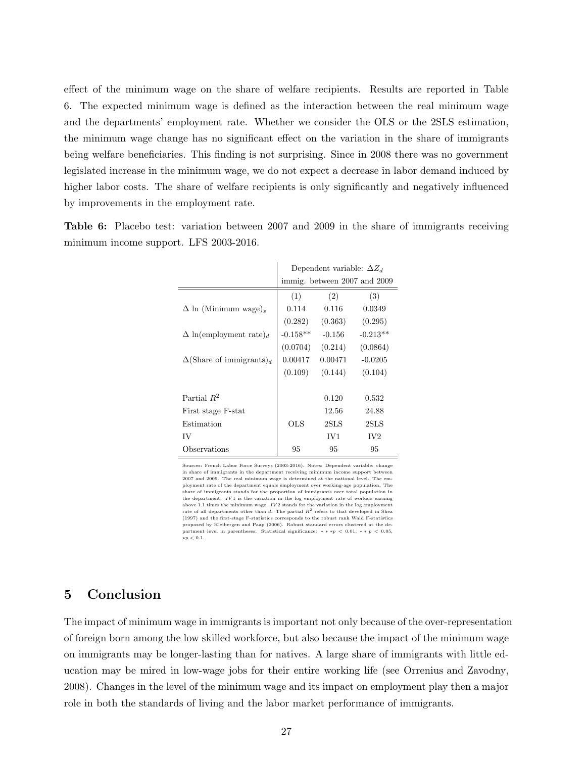effect of the minimum wage on the share of welfare recipients. Results are reported in Table 6. The expected minimum wage is defined as the interaction between the real minimum wage and the departments' employment rate. Whether we consider the OLS or the 2SLS estimation, the minimum wage change has no significant effect on the variation in the share of immigrants being welfare beneficiaries. This finding is not surprising. Since in 2008 there was no government legislated increase in the minimum wage, we do not expect a decrease in labor demand induced by higher labor costs. The share of welfare recipients is only significantly and negatively influenced by improvements in the employment rate.

**Table 6:** Placebo test: variation between 2007 and 2009 in the share of immigrants receiving minimum income support. LFS 2003-2016.

|                                             |            | Dependent variable: $\Delta Z_d$ |                              |
|---------------------------------------------|------------|----------------------------------|------------------------------|
|                                             |            |                                  | immig. between 2007 and 2009 |
|                                             | (1)        | (2)                              | (3)                          |
| $\Delta$ ln (Minimum wage).                 | 0.114      | 0.116                            | 0.0349                       |
|                                             | (0.282)    | (0.363)                          | (0.295)                      |
| $\Delta$ ln(employment rate) <sub>d</sub>   | $-0.158**$ | $-0.156$                         | $-0.213**$                   |
|                                             | (0.0704)   | (0.214)                          | (0.0864)                     |
| $\Delta$ (Share of immigrants) <sub>d</sub> | 0.00417    | 0.00471                          | $-0.0205$                    |
|                                             | (0.109)    | (0.144)                          | (0.104)                      |
|                                             |            |                                  |                              |
| Partial $R^2$                               |            | 0.120                            | 0.532                        |
| First stage F-stat                          |            | 12.56                            | 24.88                        |
| Estimation                                  | OLS        | 2SLS                             | 2SLS                         |
| IV                                          |            | IV1                              | IV <sub>2</sub>              |
| Observations                                | 95         | 95                               | 95                           |

Sources: French Labor Force Surveys (2003-2016). Notes: Dependent variable: change in share of immigrants in the department receiving minimum income support between 2007 and 2009. The real minimum wage is determined at the national level. The employment rate of the department equals employment over working-age population. The share of immigrants stands for the proportion of immigrants over total population in the department. *IV* 1 is the variation in the log employment rate of workers earning above 1.1 times the minimum wage.  $IV2$  stands for the variation in the log employment rate of all departments other than *d*. The partial *R*<sup>2</sup> refers to that developed in Shea (1997) and the first-stage F-statistics corresponds to the robust rank Wald F-statistics proposed by Kleibergen and Paap (2006). Robust standard errors clustered at the department level in parentheses. Statistical significance: *∗ ∗ ∗p <* <sup>0</sup>*.*01, *∗ ∗ p <* <sup>0</sup>*.*05, *<sup>∗</sup>p <* <sup>0</sup>*.*1.

# **5 Conclusion**

The impact of minimum wage in immigrants is important not only because of the over-representation of foreign born among the low skilled workforce, but also because the impact of the minimum wage on immigrants may be longer-lasting than for natives. A large share of immigrants with little education may be mired in low-wage jobs for their entire working life (see Orrenius and Zavodny, 2008). Changes in the level of the minimum wage and its impact on employment play then a major role in both the standards of living and the labor market performance of immigrants.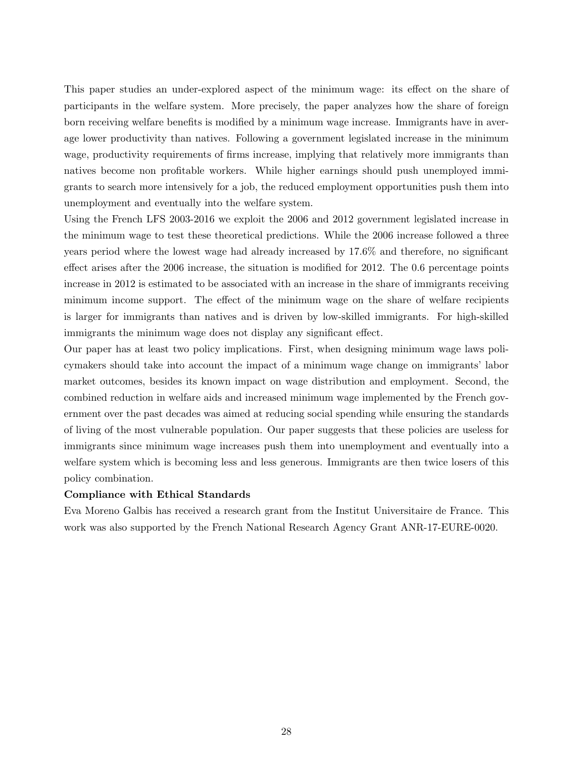This paper studies an under-explored aspect of the minimum wage: its effect on the share of participants in the welfare system. More precisely, the paper analyzes how the share of foreign born receiving welfare benefits is modified by a minimum wage increase. Immigrants have in average lower productivity than natives. Following a government legislated increase in the minimum wage, productivity requirements of firms increase, implying that relatively more immigrants than natives become non profitable workers. While higher earnings should push unemployed immigrants to search more intensively for a job, the reduced employment opportunities push them into unemployment and eventually into the welfare system.

Using the French LFS 2003-2016 we exploit the 2006 and 2012 government legislated increase in the minimum wage to test these theoretical predictions. While the 2006 increase followed a three years period where the lowest wage had already increased by 17.6% and therefore, no significant effect arises after the 2006 increase, the situation is modified for 2012. The 0.6 percentage points increase in 2012 is estimated to be associated with an increase in the share of immigrants receiving minimum income support. The effect of the minimum wage on the share of welfare recipients is larger for immigrants than natives and is driven by low-skilled immigrants. For high-skilled immigrants the minimum wage does not display any significant effect.

Our paper has at least two policy implications. First, when designing minimum wage laws policymakers should take into account the impact of a minimum wage change on immigrants' labor market outcomes, besides its known impact on wage distribution and employment. Second, the combined reduction in welfare aids and increased minimum wage implemented by the French government over the past decades was aimed at reducing social spending while ensuring the standards of living of the most vulnerable population. Our paper suggests that these policies are useless for immigrants since minimum wage increases push them into unemployment and eventually into a welfare system which is becoming less and less generous. Immigrants are then twice losers of this policy combination.

#### **Compliance with Ethical Standards**

Eva Moreno Galbis has received a research grant from the Institut Universitaire de France. This work was also supported by the French National Research Agency Grant ANR-17-EURE-0020.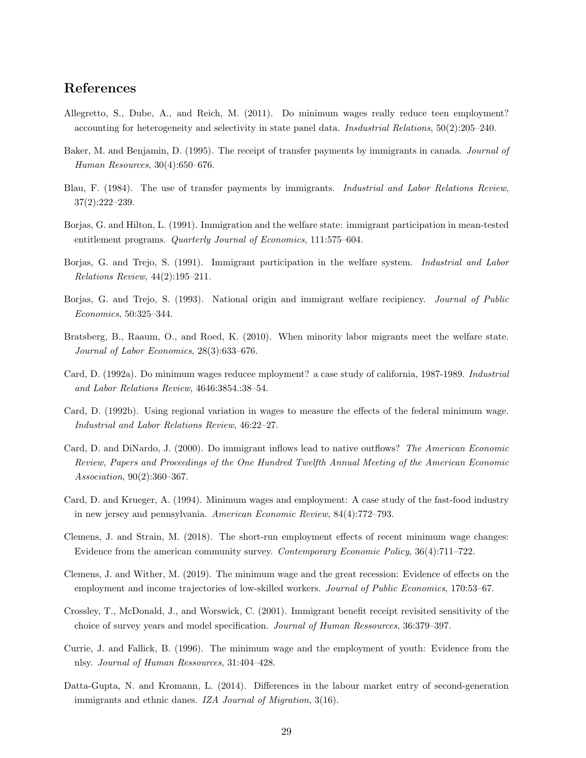# **References**

- Allegretto, S., Dube, A., and Reich, M. (2011). Do minimum wages really reduce teen employment? accounting for heterogeneity and selectivity in state panel data. *Insdustrial Relations*, 50(2):205–240.
- Baker, M. and Benjamin, D. (1995). The receipt of transfer payments by immigrants in canada. *Journal of Human Resources*, 30(4):650–676.
- Blau, F. (1984). The use of transfer payments by immigrants. *Industrial and Labor Relations Review*, 37(2):222–239.
- Borjas, G. and Hilton, L. (1991). Immigration and the welfare state: immigrant participation in mean-tested entitlement programs. *Quarterly Journal of Economics*, 111:575–604.
- Borjas, G. and Trejo, S. (1991). Immigrant participation in the welfare system. *Industrial and Labor Relations Review*, 44(2):195–211.
- Borjas, G. and Trejo, S. (1993). National origin and immigrant welfare recipiency. *Journal of Public Economics*, 50:325–344.
- Bratsberg, B., Raaum, O., and Roed, K. (2010). When minority labor migrants meet the welfare state. *Journal of Labor Economics*, 28(3):633–676.
- Card, D. (1992a). Do minimum wages reducee mployment? a case study of california, 1987-1989. *Industrial and Labor Relations Review*, 4646:3854.:38–54.
- Card, D. (1992b). Using regional variation in wages to measure the effects of the federal minimum wage. *Industrial and Labor Relations Review*, 46:22–27.
- Card, D. and DiNardo, J. (2000). Do immigrant inflows lead to native outflows? *The American Economic Review, Papers and Proceedings of the One Hundred Twelfth Annual Meeting of the American Economic Association*, 90(2):360–367.
- Card, D. and Krueger, A. (1994). Minimum wages and employment: A case study of the fast-food industry in new jersey and pennsylvania. *American Economic Review*, 84(4):772–793.
- Clemens, J. and Strain, M. (2018). The short-run employment effects of recent minimum wage changes: Evidence from the american community survey. *Contemporary Economic Policy*, 36(4):711–722.
- Clemens, J. and Wither, M. (2019). The minimum wage and the great recession: Evidence of effects on the employment and income trajectories of low-skilled workers. *Journal of Public Economics*, 170:53–67.
- Crossley, T., McDonald, J., and Worswick, C. (2001). Immigrant benefit receipt revisited sensitivity of the choice of survey years and model specification. *Journal of Human Ressources*, 36:379–397.
- Currie, J. and Fallick, B. (1996). The minimum wage and the employment of youth: Evidence from the nlsy. *Journal of Human Ressources*, 31:404–428.
- Datta-Gupta, N. and Kromann, L. (2014). Differences in the labour market entry of second-generation immigrants and ethnic danes. *IZA Journal of Migration*, 3(16).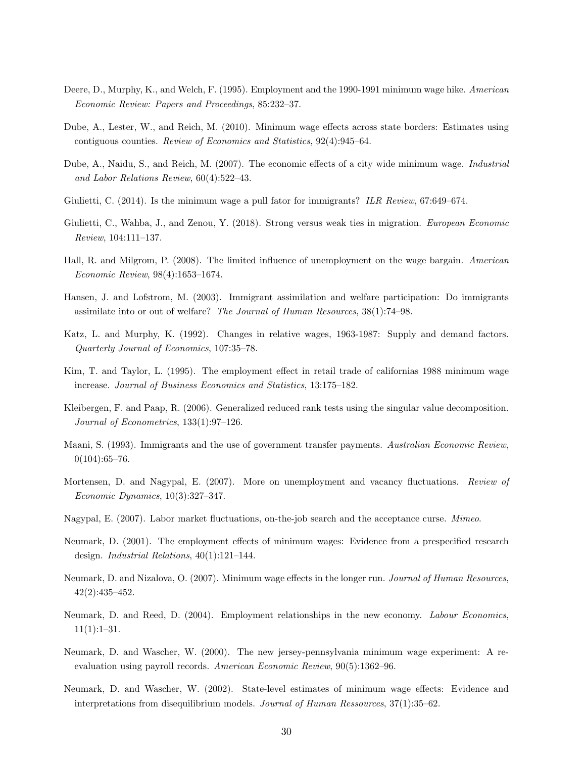- Deere, D., Murphy, K., and Welch, F. (1995). Employment and the 1990-1991 minimum wage hike. *American Economic Review: Papers and Proceedings*, 85:232–37.
- Dube, A., Lester, W., and Reich, M. (2010). Minimum wage effects across state borders: Estimates using contiguous counties. *Review of Economics and Statistics*, 92(4):945–64.
- Dube, A., Naidu, S., and Reich, M. (2007). The economic effects of a city wide minimum wage. *Industrial and Labor Relations Review*, 60(4):522–43.
- Giulietti, C. (2014). Is the minimum wage a pull fator for immigrants? *ILR Review*, 67:649–674.
- Giulietti, C., Wahba, J., and Zenou, Y. (2018). Strong versus weak ties in migration. *European Economic Review*, 104:111–137.
- Hall, R. and Milgrom, P. (2008). The limited influence of unemployment on the wage bargain. *American Economic Review*, 98(4):1653–1674.
- Hansen, J. and Lofstrom, M. (2003). Immigrant assimilation and welfare participation: Do immigrants assimilate into or out of welfare? *The Journal of Human Resources*, 38(1):74–98.
- Katz, L. and Murphy, K. (1992). Changes in relative wages, 1963-1987: Supply and demand factors. *Quarterly Journal of Economics*, 107:35–78.
- Kim, T. and Taylor, L. (1995). The employment effect in retail trade of californias 1988 minimum wage increase. *Journal of Business Economics and Statistics*, 13:175–182.
- Kleibergen, F. and Paap, R. (2006). Generalized reduced rank tests using the singular value decomposition. *Journal of Econometrics*, 133(1):97–126.
- Maani, S. (1993). Immigrants and the use of government transfer payments. *Australian Economic Review*,  $0(104):65-76.$
- Mortensen, D. and Nagypal, E. (2007). More on unemployment and vacancy fluctuations. *Review of Economic Dynamics*, 10(3):327–347.
- Nagypal, E. (2007). Labor market fluctuations, on-the-job search and the acceptance curse. *Mimeo*.
- Neumark, D. (2001). The employment effects of minimum wages: Evidence from a prespecified research design. *Industrial Relations*, 40(1):121–144.
- Neumark, D. and Nizalova, O. (2007). Minimum wage effects in the longer run. *Journal of Human Resources*, 42(2):435–452.
- Neumark, D. and Reed, D. (2004). Employment relationships in the new economy. *Labour Economics*,  $11(1):1-31.$
- Neumark, D. and Wascher, W. (2000). The new jersey-pennsylvania minimum wage experiment: A reevaluation using payroll records. *American Economic Review*, 90(5):1362–96.
- Neumark, D. and Wascher, W. (2002). State-level estimates of minimum wage effects: Evidence and interpretations from disequilibrium models. *Journal of Human Ressources*, 37(1):35–62.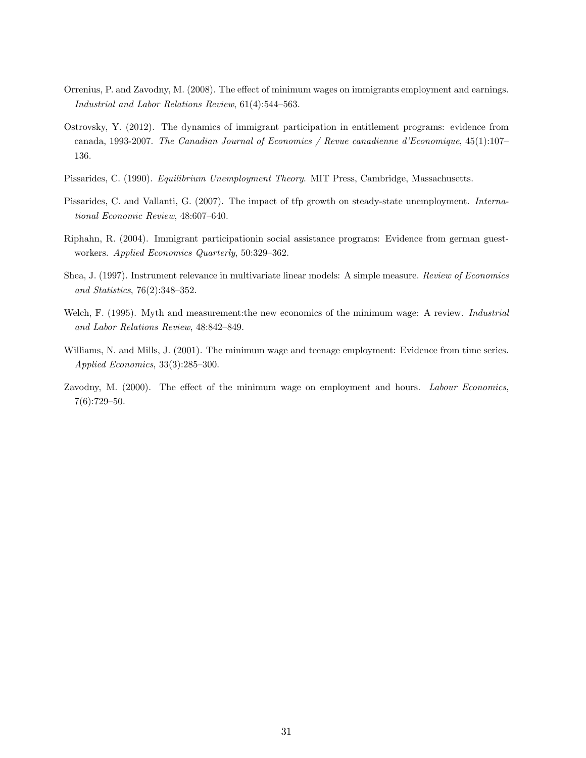- Orrenius, P. and Zavodny, M. (2008). The effect of minimum wages on immigrants employment and earnings. *Industrial and Labor Relations Review*, 61(4):544–563.
- Ostrovsky, Y. (2012). The dynamics of immigrant participation in entitlement programs: evidence from canada, 1993-2007. *The Canadian Journal of Economics / Revue canadienne d'Economique*, 45(1):107– 136.
- Pissarides, C. (1990). *Equilibrium Unemployment Theory*. MIT Press, Cambridge, Massachusetts.
- Pissarides, C. and Vallanti, G. (2007). The impact of tfp growth on steady-state unemployment. *International Economic Review*, 48:607–640.
- Riphahn, R. (2004). Immigrant participationin social assistance programs: Evidence from german guestworkers. *Applied Economics Quarterly*, 50:329–362.
- Shea, J. (1997). Instrument relevance in multivariate linear models: A simple measure. *Review of Economics and Statistics*, 76(2):348–352.
- Welch, F. (1995). Myth and measurement:the new economics of the minimum wage: A review. *Industrial and Labor Relations Review*, 48:842–849.
- Williams, N. and Mills, J. (2001). The minimum wage and teenage employment: Evidence from time series. *Applied Economics*, 33(3):285–300.
- Zavodny, M. (2000). The effect of the minimum wage on employment and hours. *Labour Economics*, 7(6):729–50.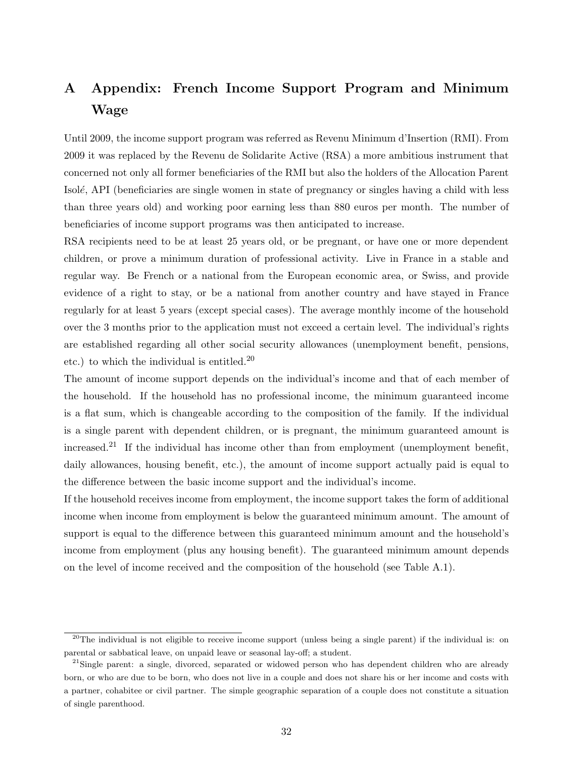# **A Appendix: French Income Support Program and Minimum Wage**

Until 2009, the income support program was referred as Revenu Minimum d'Insertion (RMI). From 2009 it was replaced by the Revenu de Solidarite Active (RSA) a more ambitious instrument that concerned not only all former beneficiaries of the RMI but also the holders of the Allocation Parent Isolé, API (beneficiaries are single women in state of pregnancy or singles having a child with less than three years old) and working poor earning less than 880 euros per month. The number of beneficiaries of income support programs was then anticipated to increase.

RSA recipients need to be at least 25 years old, or be pregnant, or have one or more dependent children, or prove a minimum duration of professional activity. Live in France in a stable and regular way. Be French or a national from the European economic area, or Swiss, and provide evidence of a right to stay, or be a national from another country and have stayed in France regularly for at least 5 years (except special cases). The average monthly income of the household over the 3 months prior to the application must not exceed a certain level. The individual's rights are established regarding all other social security allowances (unemployment benefit, pensions, etc.) to which the individual is entitled.<sup>20</sup>

The amount of income support depends on the individual's income and that of each member of the household. If the household has no professional income, the minimum guaranteed income is a flat sum, which is changeable according to the composition of the family. If the individual is a single parent with dependent children, or is pregnant, the minimum guaranteed amount is increased.<sup>21</sup> If the individual has income other than from employment (unemployment benefit, daily allowances, housing benefit, etc.), the amount of income support actually paid is equal to the difference between the basic income support and the individual's income.

If the household receives income from employment, the income support takes the form of additional income when income from employment is below the guaranteed minimum amount. The amount of support is equal to the difference between this guaranteed minimum amount and the household's income from employment (plus any housing benefit). The guaranteed minimum amount depends on the level of income received and the composition of the household (see Table A.1).

<sup>&</sup>lt;sup>20</sup>The individual is not eligible to receive income support (unless being a single parent) if the individual is: on parental or sabbatical leave, on unpaid leave or seasonal lay-off; a student.

 $^{21}$ Single parent: a single, divorced, separated or widowed person who has dependent children who are already born, or who are due to be born, who does not live in a couple and does not share his or her income and costs with a partner, cohabitee or civil partner. The simple geographic separation of a couple does not constitute a situation of single parenthood.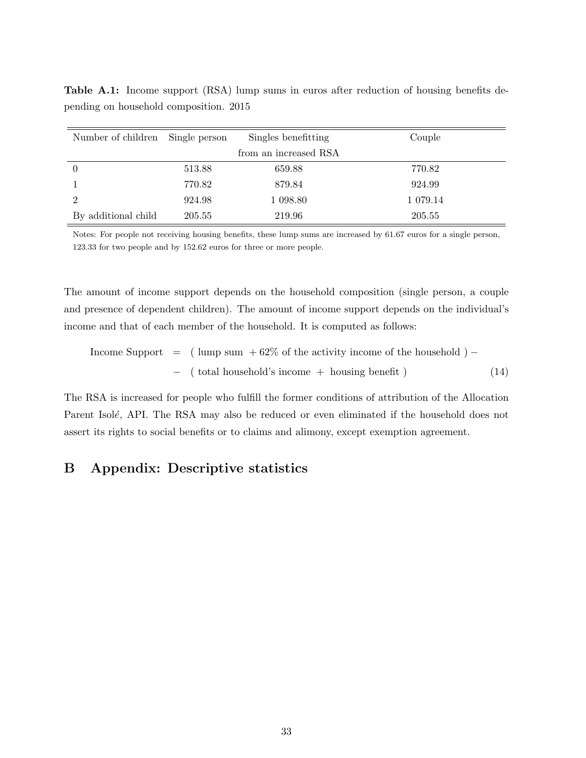| Number of children Single person |        | Singles benefitting   | Couple   |
|----------------------------------|--------|-----------------------|----------|
|                                  |        | from an increased RSA |          |
| $\theta$                         | 513.88 | 659.88                | 770.82   |
|                                  | 770.82 | 879.84                | 924.99   |
| 2                                | 924.98 | 1 098.80              | 1 079.14 |
| By additional child              | 205.55 | 219.96                | 205.55   |

**Table A.1:** Income support (RSA) lump sums in euros after reduction of housing benefits depending on household composition. 2015

Notes: For people not receiving housing benefits, these lump sums are increased by 61.67 euros for a single person, 123.33 for two people and by 152.62 euros for three or more people.

The amount of income support depends on the household composition (single person, a couple and presence of dependent children). The amount of income support depends on the individual's income and that of each member of the household. It is computed as follows:

Income Support = ( lump sum + 62% of the activity income of the household ) *− −* ( total household's income + housing benefit ) (14)

The RSA is increased for people who fulfill the former conditions of attribution of the Allocation Parent Isolé, API. The RSA may also be reduced or even eliminated if the household does not assert its rights to social benefits or to claims and alimony, except exemption agreement.

# **B Appendix: Descriptive statistics**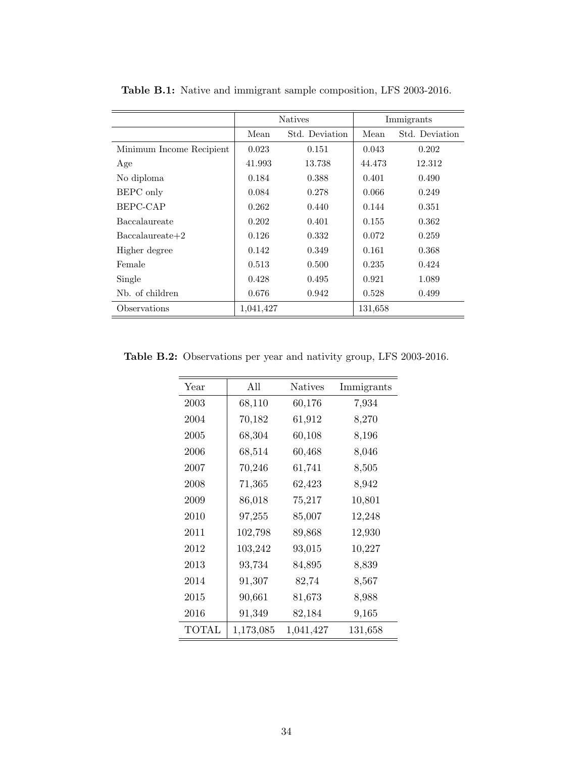|                          |           | <b>Natives</b> |         | Immigrants     |
|--------------------------|-----------|----------------|---------|----------------|
|                          | Mean      | Std. Deviation | Mean    | Std. Deviation |
| Minimum Income Recipient | 0.023     | 0.151          | 0.043   | 0.202          |
| Age                      | 41.993    | 13.738         | 44.473  | 12.312         |
| No diploma               | 0.184     | 0.388          | 0.401   | 0.490          |
| <b>BEPC</b> only         | 0.084     | 0.278          | 0.066   | 0.249          |
| BEPC-CAP                 | 0.262     | 0.440          | 0.144   | 0.351          |
| Baccalaureate            | 0.202     | 0.401          | 0.155   | 0.362          |
| $Baccalaureate+2$        | 0.126     | 0.332          | 0.072   | 0.259          |
| Higher degree            | 0.142     | 0.349          | 0.161   | 0.368          |
| Female                   | 0.513     | 0.500          | 0.235   | 0.424          |
| Single                   | 0.428     | 0.495          | 0.921   | 1.089          |
| Nb. of children          | 0.676     | 0.942          | 0.528   | 0.499          |
| Observations             | 1,041,427 |                | 131,658 |                |

**Table B.1:** Native and immigrant sample composition, LFS 2003-2016.

**Table B.2:** Observations per year and nativity group, LFS 2003-2016.

| Year  | All       | <b>Natives</b> | Immigrants |
|-------|-----------|----------------|------------|
| 2003  | 68,110    | 60,176         | 7,934      |
| 2004  | 70,182    | 61,912         | 8,270      |
| 2005  | 68,304    | 60,108         | 8,196      |
| 2006  | 68,514    | 60,468         | 8,046      |
| 2007  | 70,246    | 61,741         | 8,505      |
| 2008  | 71,365    | 62,423         | 8,942      |
| 2009  | 86,018    | 75,217         | 10,801     |
| 2010  | 97,255    | 85,007         | 12,248     |
| 2011  | 102,798   | 89,868         | 12,930     |
| 2012  | 103,242   | 93,015         | 10,227     |
| 2013  | 93,734    | 84,895         | 8,839      |
| 2014  | 91,307    | 82,74          | 8,567      |
| 2015  | 90,661    | 81,673         | 8,988      |
| 2016  | 91,349    | 82,184         | 9,165      |
| TOTAL | 1,173,085 | 1,041,427      | 131,658    |